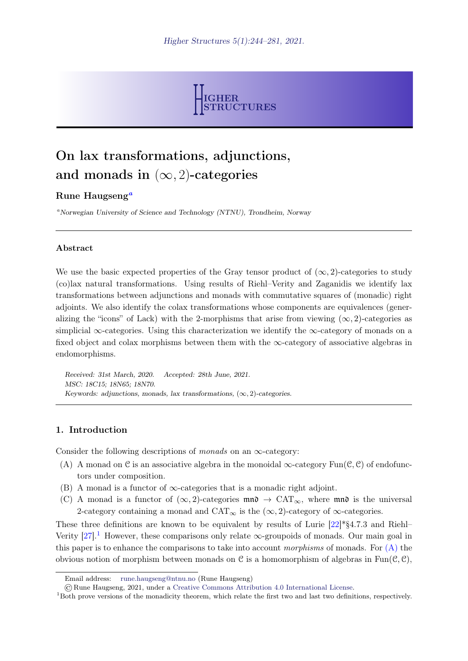

# On lax transformations, adjunctions, and monads in  $(\infty, 2)$ -categories

# Rune H[a](#page-0-0)ugseng<sup>a</sup>

<span id="page-0-0"></span><sup>a</sup>Norwegian University of Science and Technology (NTNU), Trondheim, Norway

#### Abstract

We use the basic expected properties of the Gray tensor product of  $(\infty, 2)$ -categories to study (co)lax natural transformations. Using results of Riehl–Verity and Zaganidis we identify lax transformations between adjunctions and monads with commutative squares of (monadic) right adjoints. We also identify the colax transformations whose components are equivalences (generalizing the "icons" of Lack) with the 2-morphisms that arise from viewing  $(\infty, 2)$ -categories as simplicial ∞-categories. Using this characterization we identify the  $\infty$ -category of monads on a fixed object and colax morphisms between them with the  $\infty$ -category of associative algebras in endomorphisms.

Received: 31st March, 2020. Accepted: 28th June, 2021. MSC: 18C15; 18N65; 18N70. Keywords: adjunctions, monads, lax transformations,  $(\infty, 2)$ -categories.

## 1. Introduction

Consider the following descriptions of monads on an  $\infty$ -category:

- <span id="page-0-2"></span>(A) A monad on C is an associative algebra in the monoidal  $\infty$ -category Fun(C, C) of endofunctors under composition.
- <span id="page-0-3"></span>(B) A monad is a functor of  $\infty$ -categories that is a monadic right adjoint.
- <span id="page-0-4"></span>(C) A monad is a functor of  $(\infty, 2)$ -categories  $\mathfrak{m}\mathfrak{n}\mathfrak{d} \to \text{CAT}_{\infty}$ , where  $\mathfrak{m}\mathfrak{n}\mathfrak{d}$  is the universal 2-category containing a monad and  $CAT_{\infty}$  is the  $(\infty, 2)$ -category of  $\infty$ -categories.

These three definitions are known to be equivalent by results of Lurie  $[22]*\S4.7.3$  $[22]*\S4.7.3$  and Riehl– Verity  $[27]$ .<sup>[1](#page-0-1)</sup> However, these comparisons only relate  $\infty$ -groupoids of monads. Our main goal in this paper is to enhance the comparisons to take into account morphisms of monads. For  $(A)$  the obvious notion of morphism between monads on C is a homomorphism of algebras in  $Fun(\mathcal{C}, \mathcal{C}),$ 

Email address: [rune.haugseng@ntnu.no](mailto:rune.haugseng@ntnu.no) (Rune Haugseng)

<sup>©</sup>Rune Haugseng, 2021, under a [Creative Commons Attribution 4.0 International License.](https://creativecommons.org/licenses/by/4.0/)

<span id="page-0-1"></span><sup>1</sup>Both prove versions of the monadicity theorem, which relate the first two and last two definitions, respectively.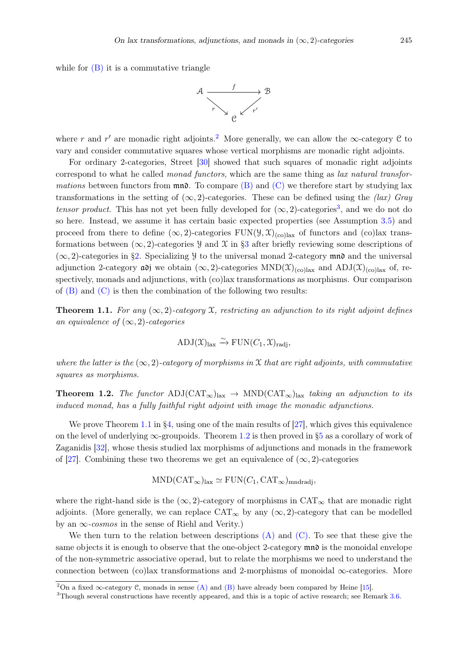while for  $(B)$  it is a commutative triangle



where r and r' are monadic right adjoints.<sup>[2](#page-1-0)</sup> More generally, we can allow the  $\infty$ -category C to vary and consider commutative squares whose vertical morphisms are monadic right adjoints.

For ordinary 2-categories, Street [\[30\]](#page-37-2) showed that such squares of monadic right adjoints correspond to what he called *monad functors*, which are the same thing as *lax natural transfor*mations between functors from  $\mathfrak{mn}$ . To compare [\(B\)](#page-0-3) and [\(C\)](#page-0-4) we therefore start by studying lax transformations in the setting of  $(\infty, 2)$ -categories. These can be defined using the *(lax)* Gray tensor product. This has not yet been fully developed for  $(\infty, 2)$ -categories<sup>[3](#page-1-1)</sup>, and we do not do so here. Instead, we assume it has certain basic expected properties (see Assumption [3.5\)](#page-8-0) and proceed from there to define  $(\infty, 2)$ -categories FUN( $(\mathcal{Y}, \mathcal{X})_{(\text{col})}$ ) ax of functors and (co)lax transformations between  $(\infty, 2)$ -categories y and X in [§3](#page-7-0) after briefly reviewing some descriptions of  $(\infty, 2)$ -categories in [§2.](#page-2-0) Specializing *y* to the universal monad 2-category mno and the universal adjunction 2-category  $\omega$  we obtain  $(\infty, 2)$ -categories  $MND(\mathfrak{X})_{(co) \text{lax}}$  and  $ADJ(\mathfrak{X})_{(co) \text{lax}}$  of, respectively, monads and adjunctions, with (co)lax transformations as morphisms. Our comparison of  $(B)$  and  $(C)$  is then the combination of the following two results:

<span id="page-1-2"></span>**Theorem 1.1.** For any  $(\infty, 2)$ -category X, restricting an adjunction to its right adjoint defines an equivalence of  $(\infty, 2)$ -categories

$$
\mathrm{ADJ}(\mathfrak{X})_{\mathrm{lax}} \xrightarrow{\sim} \mathrm{FUN}(C_1, \mathfrak{X})_{\mathrm{radj}},
$$

where the latter is the  $(\infty, 2)$ -category of morphisms in X that are right adjoints, with commutative squares as morphisms.

<span id="page-1-3"></span>**Theorem 1.2.** The functor  $\text{ADI}(\text{CAT}_\infty)_{\text{tax}} \to \text{MND}(\text{CAT}_\infty)_{\text{tax}}$  taking an adjunction to its induced monad, has a fully faithful right adjoint with image the monadic adjunctions.

We prove Theorem [1.1](#page-1-2) in [§4,](#page-12-0) using one of the main results of [\[27\]](#page-37-1), which gives this equivalence on the level of underlying  $\infty$ -groupoids. Theorem [1.2](#page-1-3) is then proved in [§5](#page-20-0) as a corollary of work of Zaganidis [\[32\]](#page-37-3), whose thesis studied lax morphisms of adjunctions and monads in the framework of [\[27\]](#page-37-1). Combining these two theorems we get an equivalence of  $(\infty, 2)$ -categories

$$
\text{MND}(\text{CAT}_{\infty})_{\text{lax}} \simeq \text{FUN}(C_1, \text{CAT}_{\infty})_{\text{mndradj}},
$$

where the right-hand side is the  $(\infty, 2)$ -category of morphisms in CAT<sub>∞</sub> that are monadic right adjoints. (More generally, we can replace  $CAT_{\infty}$  by any  $(\infty, 2)$ -category that can be modelled by an  $\infty$ -cosmos in the sense of Riehl and Verity.)

We then turn to the relation between descriptions  $(A)$  and  $(C)$ . To see that these give the same objects it is enough to observe that the one-object 2-category  $\mathfrak{m}\mathfrak{n}\mathfrak{d}$  is the monoidal envelope of the non-symmetric associative operad, but to relate the morphisms we need to understand the connection between (co)lax transformations and 2-morphisms of monoidal  $\infty$ -categories. More

<span id="page-1-0"></span><sup>&</sup>lt;sup>2</sup>On a fixed  $\infty$ -category C, monads in sense [\(A\)](#page-0-2) and [\(B\)](#page-0-3) have already been compared by Heine [\[15\]](#page-36-0).

<span id="page-1-1"></span><sup>&</sup>lt;sup>3</sup>Though several constructions have recently appeared, and this is a topic of active research; see Remark [3.6.](#page-8-1)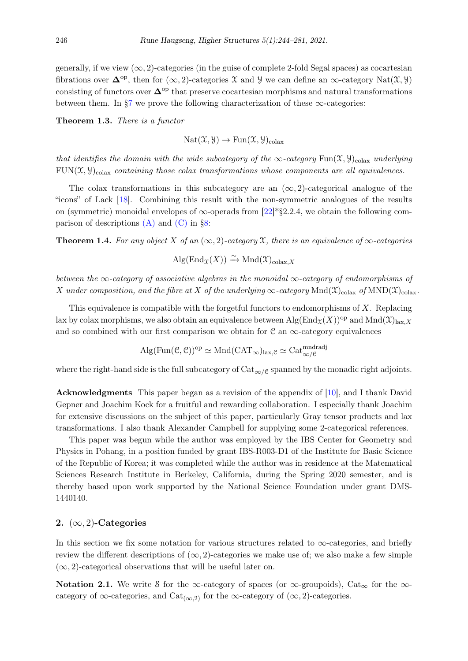generally, if we view  $(\infty, 2)$ -categories (in the guise of complete 2-fold Segal spaces) as cocartesian fibrations over  $\Delta^{op}$ , then for  $(\infty, 2)$ -categories X and Y we can define an  $\infty$ -category Nat $(\mathfrak{X}, \mathfrak{Y})$ consisting of functors over  $\mathbf{\Delta}^{\mathrm{op}}$  that preserve cocartesian morphisms and natural transformations between them. In  $\S7$  we prove the following characterization of these  $\infty$ -categories:

Theorem 1.3. There is a functor

 $\text{Nat}(\mathfrak{X}, \mathfrak{Y}) \to \text{Fun}(\mathfrak{X}, \mathfrak{Y})_{\text{colax}}$ 

that identifies the domain with the wide subcategory of the  $\infty$ -category Fun(X, Y)<sub>colax</sub> underlying  $FUN(\mathfrak{X}, \mathfrak{Y})_{\text{colax}}$  containing those colax transformations whose components are all equivalences.

The colax transformations in this subcategory are an  $(\infty, 2)$ -categorical analogue of the "icons" of Lack [\[18\]](#page-36-1). Combining this result with the non-symmetric analogues of the results on (symmetric) monoidal envelopes of  $\infty$ -operads from [\[22\]](#page-37-0)\*§2.2.4, we obtain the following comparison of descriptions  $(A)$  and  $(C)$  in [§8:](#page-32-0)

**Theorem 1.4.** For any object X of an  $(\infty, 2)$ -category X, there is an equivalence of  $\infty$ -categories

$$
\mathrm{Alg}(\mathrm{End}_{\mathfrak{X}}(X)) \xrightarrow{\sim} \mathrm{Mnd}(\mathfrak{X})_{\mathrm{colax},X}
$$

between the  $\infty$ -category of associative algebras in the monoidal  $\infty$ -category of endomorphisms of X under composition, and the fibre at X of the underlying  $\infty$ -category Mnd $(\mathfrak{X})_{\text{colax}}$  of MND $(\mathfrak{X})_{\text{colax}}$ 

This equivalence is compatible with the forgetful functors to endomorphisms of  $X$ . Replacing lax by colax morphisms, we also obtain an equivalence between  $\text{Alg}(\text{End}_{\mathfrak{X}}(X))^{op}$  and  $\text{Mnd}(\mathfrak{X})_{\text{lazy}}$ and so combined with our first comparison we obtain for  $\mathcal C$  an  $\infty$ -category equivalences

$$
Alg(Fun(\mathcal{C}, \mathcal{C}))^{op} \simeq Mnd(CAT_{\infty})_{lax, \mathcal{C}} \simeq Cat_{\infty/\mathcal{C}}^{mndradj}
$$

where the right-hand side is the full subcategory of  $Cat_{\infty/\mathcal{C}}$  spanned by the monadic right adjoints.

Acknowledgments This paper began as a revision of the appendix of [\[10\]](#page-36-2), and I thank David Gepner and Joachim Kock for a fruitful and rewarding collaboration. I especially thank Joachim for extensive discussions on the subject of this paper, particularly Gray tensor products and lax transformations. I also thank Alexander Campbell for supplying some 2-categorical references.

This paper was begun while the author was employed by the IBS Center for Geometry and Physics in Pohang, in a position funded by grant IBS-R003-D1 of the Institute for Basic Science of the Republic of Korea; it was completed while the author was in residence at the Matematical Sciences Research Institute in Berkeley, California, during the Spring 2020 semester, and is thereby based upon work supported by the National Science Foundation under grant DMS-1440140.

# <span id="page-2-0"></span>2.  $(\infty, 2)$ -Categories

In this section we fix some notation for various structures related to  $\infty$ -categories, and briefly review the different descriptions of  $(\infty, 2)$ -categories we make use of; we also make a few simple  $(\infty, 2)$ -categorical observations that will be useful later on.

Notation 2.1. We write S for the  $\infty$ -category of spaces (or  $\infty$ -groupoids), Cat<sub> $\infty$ </sub> for the  $\infty$ category of  $\infty$ -categories, and  $Cat_{(\infty,2)}$  for the  $\infty$ -category of  $(\infty,2)$ -categories.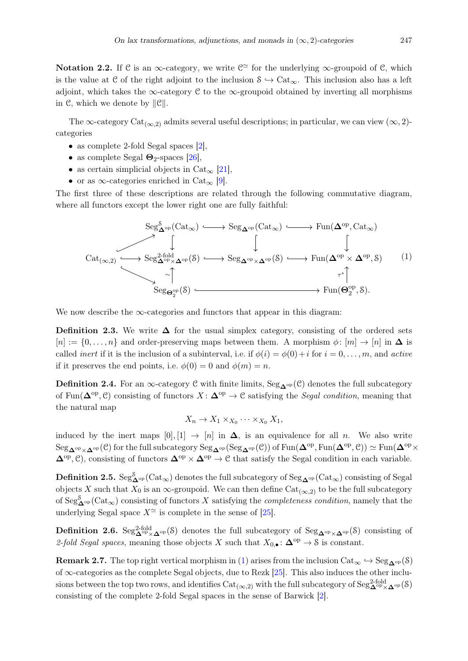Notation 2.2. If C is an  $\infty$ -category, we write  $\mathcal{C}^{\simeq}$  for the underlying  $\infty$ -groupoid of C, which is the value at C of the right adjoint to the inclusion  $S \hookrightarrow \text{Cat}_{\infty}$ . This inclusion also has a left adjoint, which takes the  $\infty$ -category C to the  $\infty$ -groupoid obtained by inverting all morphisms in C, which we denote by ∥C∥.

The  $\infty$ -category Cat<sub>( $\infty$ ,2)</sub> admits several useful descriptions; in particular, we can view  $(\infty, 2)$ categories

- as complete 2-fold Segal spaces [\[2\]](#page-36-3),
- as complete Segal  $\Theta_2$ -spaces [\[26\]](#page-37-4),
- as certain simplicial objects in  $Cat_{\infty}$  [\[21\]](#page-37-5),
- or as  $\infty$ -categories enriched in Cat<sub> $\infty$ </sub> [\[9\]](#page-36-4).

The first three of these descriptions are related through the following commutative diagram, where all functors except the lower right one are fully faithful:

<span id="page-3-0"></span>
$$
\begin{array}{ccc}\n & \mathrm{Seg}^{\mathcal{S}}_{\mathbf{\Delta}^{op}}(\mathrm{Cat}_{\infty}) \longrightarrow \mathrm{Seg}_{\mathbf{\Delta}^{op}}(\mathrm{Cat}_{\infty}) \longleftarrow \mathrm{Fun}(\mathbf{\Delta}^{op}, \mathrm{Cat}_{\infty}) \\
 & & \downarrow \qquad \qquad \downarrow \qquad \qquad \downarrow \\
 & \mathrm{Cat}_{(\infty,2)} \longrightarrow \mathrm{Seg}^{\mathcal{Z}\text{-fold}}_{\mathbf{\Delta}^{op} \times \mathbf{\Delta}^{op}}(\mathcal{S}) \longrightarrow \mathrm{Seg}_{\mathbf{\Delta}^{op} \times \mathbf{\Delta}^{op}}(\mathcal{S}) \longrightarrow \mathrm{Fun}(\mathbf{\Delta}^{op} \times \mathbf{\Delta}^{op}, \mathcal{S}) \\
 & & \downarrow \qquad \qquad \downarrow \\
 & \times \uparrow \qquad \qquad \downarrow \\
 & \mathrm{Seg}_{\mathbf{\Theta}^{op}_2}(\mathcal{S}) \longleftarrow \qquad \qquad \downarrow \\
 & \mathrm{Fun}(\mathbf{\Theta}^{op}_2, \mathcal{S}).\n\end{array}\n\end{array}\n\tag{1}
$$

We now describe the  $\infty$ -categories and functors that appear in this diagram:

**Definition 2.3.** We write  $\Delta$  for the usual simplex category, consisting of the ordered sets  $[n] := \{0, \ldots, n\}$  and order-preserving maps between them. A morphism  $\phi : [m] \to [n]$  in  $\Delta$  is called *inert* if it is the inclusion of a subinterval, i.e. if  $\phi(i) = \phi(0) + i$  for  $i = 0, \ldots, m$ , and *active* if it preserves the end points, i.e.  $\phi(0) = 0$  and  $\phi(m) = n$ .

Definition 2.4. For an  $\infty$ -category C with finite limits, Seg<sub> $\Delta^{op}(\mathcal{C})$ </sub> denotes the full subcategory of Fun( $\Delta^{op}, \mathcal{C}$ ) consisting of functors  $X : \Delta^{op} \to \mathcal{C}$  satisfying the Segal condition, meaning that the natural map

$$
X_n \to X_1 \times_{X_0} \cdots \times_{X_0} X_1,
$$

induced by the inert maps  $[0], [1] \rightarrow [n]$  in  $\Delta$ , is an equivalence for all *n*. We also write  $\mathrm{Seg}_{\mathbf{\Delta}^{\mathrm{op}}\times\mathbf{\Delta}^{\mathrm{op}}}(\mathcal{C})$  for the full subcategory  $\mathrm{Seg}_{\mathbf{\Delta}^{\mathrm{op}}}(\mathrm{Seg}_{\mathbf{\Delta}^{\mathrm{op}}}(\mathcal{C}))$  of  $\mathrm{Fun}(\mathbf{\Delta}^{\mathrm{op}},{\rm Fun}(\mathbf{\Delta}^{\mathrm{op}},\mathcal{C}))\simeq\mathrm{Fun}(\mathbf{\Delta}^{\mathrm{op}}\times\mathcal{C})$  $\Delta^{\text{op}}, \mathcal{C}$ , consisting of functors  $\Delta^{\text{op}} \times \Delta^{\text{op}} \to \mathcal{C}$  that satisfy the Segal condition in each variable.

Definition 2.5.  $\text{Seg}^S_{\mathbf{\Delta}^{\text{op}}}(\text{Cat}_{\infty})$  denotes the full subcategory of  $\text{Seg}_{\mathbf{\Delta}^{\text{op}}}(\text{Cat}_{\infty})$  consisting of Segal objects X such that  $X_0$  is an  $\infty$ -groupoid. We can then define  $Cat_{(\infty,2)}$  to be the full subcategory of  $\text{Seg}^{\mathcal{S}}_{\mathbf{\Delta}^{op}}(\text{Cat}_{\infty})$  consisting of functors X satisfying the *completeness condition*, namely that the underlying Segal space  $X^{\simeq}$  is complete in the sense of [\[25\]](#page-37-6).

**Definition 2.6.** Seg<sup>2-fold</sup>  $\Delta^{op}(\mathcal{S})$  denotes the full subcategory of Seg<sub> $\Delta^{op} \times \Delta^{op}(\mathcal{S})$  consisting of</sub> 2-fold Segal spaces, meaning those objects X such that  $X_{0,\bullet} : \mathbf{\Delta}^{\mathrm{op}} \to \mathcal{S}$  is constant.

**Remark 2.7.** The top right vertical morphism in [\(1\)](#page-3-0) arises from the inclusion  $Cat_{\infty} \hookrightarrow Seg_{\mathbf{A}^{\mathrm{op}}}(\mathcal{S})$ of  $\infty$ -categories as the complete Segal objects, due to Rezk [\[25\]](#page-37-6). This also induces the other inclusions between the top two rows, and identifies  $\text{Cat}_{(\infty,2)}$  with the full subcategory of  $\text{Seg}_{\mathbf{\Delta}^{\text{op}} \times \mathbf{\Delta}^{\text{op}}}^{\text{2-fold}}(\mathcal{S})$ consisting of the complete 2-fold Segal spaces in the sense of Barwick [\[2\]](#page-36-3).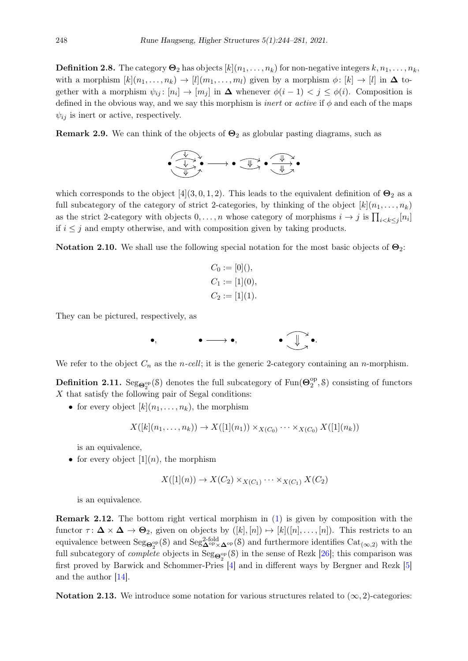**Definition 2.8.** The category  $\mathbf{\Theta}_2$  has objects  $[k](n_1, \ldots, n_k)$  for non-negative integers  $k, n_1, \ldots, n_k$ , with a morphism  $[k](n_1, \ldots, n_k) \to [l](m_1, \ldots, m_l)$  given by a morphism  $\phi: [k] \to [l]$  in  $\Delta$  together with a morphism  $\psi_{ij}: [n_i] \to [m_j]$  in  $\Delta$  whenever  $\phi(i-1) < j \leq \phi(i)$ . Composition is defined in the obvious way, and we say this morphism is *inert* or *active* if  $\phi$  and each of the maps  $\psi_{ij}$  is inert or active, respectively.

**Remark 2.9.** We can think of the objects of  $\Theta_2$  as globular pasting diagrams, such as

$$
\bullet \xrightarrow{\psi \rightarrow \bullet} \bullet \xrightarrow{\psi \rightarrow \bullet} \bullet \xrightarrow{\psi \rightarrow \bullet} \bullet
$$

which corresponds to the object [4](3, 0, 1, 2). This leads to the equivalent definition of  $\Theta_2$  as a full subcategory of the category of strict 2-categories, by thinking of the object  $[k](n_1, \ldots, n_k)$ as the strict 2-category with objects  $0, \ldots, n$  whose category of morphisms  $i \to j$  is  $\prod_{i < k \leq j} [n_i]$ if  $i \leq j$  and empty otherwise, and with composition given by taking products.

Notation 2.10. We shall use the following special notation for the most basic objects of  $\Theta_2$ :

$$
C_0 := [0](),
$$
  
\n
$$
C_1 := [1](0),
$$
  
\n
$$
C_2 := [1](1).
$$

They can be pictured, respectively, as



We refer to the object  $C_n$  as the *n-cell*; it is the generic 2-category containing an *n*-morphism.

**Definition 2.11.** Seg<sub> $\mathbf{\Theta}_2^{\text{op}}(\mathcal{S})$  denotes the full subcategory of Fun( $\mathbf{\Theta}_2^{\text{op}}$ </sub>  $2^{\text{op}},$  S) consisting of functors  $X$  that satisfy the following pair of Segal conditions:

• for every object  $[k](n_1, \ldots, n_k)$ , the morphism

$$
X([k](n_1,\ldots,n_k)) \to X([1](n_1)) \times_{X(C_0)} \cdots \times_{X(C_0)} X([1](n_k))
$$

is an equivalence,

• for every object  $[1](n)$ , the morphism

$$
X([1](n)) \to X(C_2) \times_{X(C_1)} \cdots \times_{X(C_1)} X(C_2)
$$

is an equivalence.

Remark 2.12. The bottom right vertical morphism in [\(1\)](#page-3-0) is given by composition with the functor  $\tau: \Delta \times \Delta \to \Theta_2$ , given on objects by  $([k], [n]) \mapsto [k]([n], \ldots, [n])$ . This restricts to an equivalence between  $\text{Seg}_{\mathbf{\Theta}^{\text{op}}_2}(\mathcal{S})$  and  $\text{Seg}_{\mathbf{\Delta}^{\text{op}} \times \mathbf{\Delta}^{\text{op}}}(\mathcal{S})$  and furthermore identifies  $\text{Cat}_{(\infty,2)}$  with the full subcategory of *complete* objects in  $\text{Seg}_{\mathbf{\Theta}^{\text{op}}_2}(\mathcal{S})$  in the sense of Rezk [\[26\]](#page-37-4); this comparison was first proved by Barwick and Schommer-Pries [\[4\]](#page-36-5) and in different ways by Bergner and Rezk [\[5\]](#page-36-6) and the author [\[14\]](#page-36-7).

Notation 2.13. We introduce some notation for various structures related to  $(\infty, 2)$ -categories: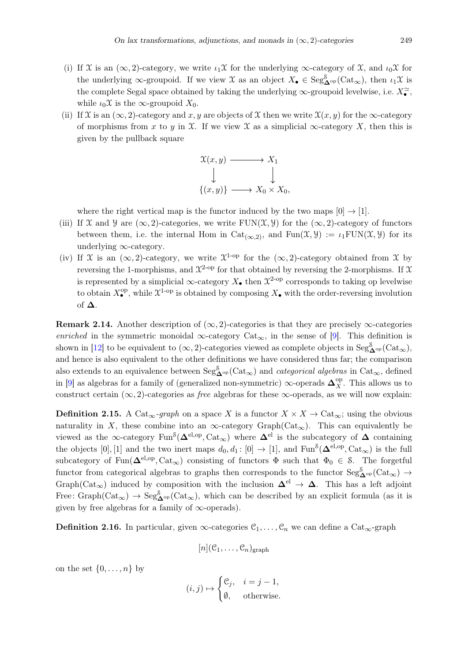- (i) If X is an  $(\infty, 2)$ -category, we write  $\iota_1\mathfrak{X}$  for the underlying  $\infty$ -category of X, and  $\iota_0\mathfrak{X}$  for the underlying  $\infty$ -groupoid. If we view  $\mathfrak X$  as an object  $X_{\bullet} \in \text{Seg}_{\mathbf{\Delta}^{\text{op}}}^{\mathcal S}(\text{Cat}_{\infty})$ , then  $\iota_1 \mathfrak X$  is the complete Segal space obtained by taking the underlying  $\infty$ -groupoid levelwise, i.e.  $X_{\bullet}^{\simeq}$ , while  $\iota_0\mathfrak{X}$  is the  $\infty$ -groupoid  $X_0$ .
- (ii) If X is an  $(\infty, 2)$ -category and x, y are objects of X then we write  $\mathfrak{X}(x, y)$  for the  $\infty$ -category of morphisms from x to y in X. If we view X as a simplicial  $\infty$ -category X, then this is given by the pullback square

$$
\mathcal{X}(x, y) \longrightarrow X_1
$$
  
\n
$$
\downarrow \qquad \qquad \downarrow
$$
  
\n
$$
\{(x, y)\} \longrightarrow X_0 \times X_0,
$$

where the right vertical map is the functor induced by the two maps  $[0] \rightarrow [1]$ .

- (iii) If X and Y are  $(\infty, 2)$ -categories, we write FUN(X, Y) for the  $(\infty, 2)$ -category of functors between them, i.e. the internal Hom in  $Cat_{(\infty,2)}$ , and  $Fun(\mathfrak{X}, \mathcal{Y}) := \iota_1{FUN}(\mathfrak{X}, \mathcal{Y})$  for its underlying ∞-category.
- (iv) If X is an  $(\infty, 2)$ -category, we write  $\mathfrak{X}^{1-\text{op}}$  for the  $(\infty, 2)$ -category obtained from X by reversing the 1-morphisms, and  $\mathfrak{X}^{2\text{-op}}$  for that obtained by reversing the 2-morphisms. If X is represented by a simplicial  $\infty$ -category  $X_{\bullet}$  then  $\mathfrak{X}^{2\text{-op}}$  corresponds to taking op levelwise to obtain  $X_{\bullet}^{\text{op}}$ , while  $\mathfrak{X}^{1-\text{op}}$  is obtained by composing  $X_{\bullet}$  with the order-reversing involution of ∆.

**Remark 2.14.** Another description of  $(\infty, 2)$ -categories is that they are precisely  $\infty$ -categories enriched in the symmetric monoidal  $\infty$ -category Cat<sub> $\infty$ </sub>, in the sense of [\[9\]](#page-36-4). This definition is shown in [\[12\]](#page-36-8) to be equivalent to  $(\infty, 2)$ -categories viewed as complete objects in  $\text{Seg}^{\delta}_{\mathbf{\Delta}^{\text{op}}}(\text{Cat}_{\infty})$ , and hence is also equivalent to the other definitions we have considered thus far; the comparison also extends to an equivalence between  $\text{Seg}^{\mathcal{S}}_{\mathbf{\Delta}^{\text{op}}}(\text{Cat}_{\infty})$  and *categorical algebras* in  $\text{Cat}_{\infty}$ , defined in [\[9\]](#page-36-4) as algebras for a family of (generalized non-symmetric)  $\infty$ -operads  $\mathbf{\Delta}_X^{\text{op}}$ . This allows us to construct certain  $(\infty, 2)$ -categories as *free* algebras for these  $\infty$ -operads, as we will now explain:

**Definition 2.15.** A Cat<sub>∞</sub>-graph on a space X is a functor  $X \times X \to \text{Cat}_{\infty}$ ; using the obvious naturality in X, these combine into an  $\infty$ -category Graph(Cat<sub> $\infty$ </sub>). This can equivalently be viewed as the ∞-category  $Fun^S(\mathbf{\Delta}^{el,op}, \mathrm{Cat}_{\infty})$  where  $\mathbf{\Delta}^{el}$  is the subcategory of  $\mathbf{\Delta}$  containing the objects [0], [1] and the two inert maps  $d_0, d_1 : [0] \to [1]$ , and  $\text{Fun}^{\mathcal{S}}(\mathbf{\Delta}^{\text{el,op}}, \text{Cat}_{\infty})$  is the full subcategory of Fun( $\Delta^{el,op}, \text{Cat}_{\infty}$ ) consisting of functors  $\Phi$  such that  $\Phi_0 \in \mathcal{S}$ . The forgetful functor from categorical algebras to graphs then corresponds to the functor  $\text{Seg}^{\mathcal{S}}_{\mathbf{\Delta}^{\text{op}}}(\text{Cat}_{\infty}) \to$ Graph(Cat<sub>∞</sub>) induced by composition with the inclusion  $\Delta^{el} \rightarrow \Delta$ . This has a left adjoint Free:  $Graph(Cat_{\infty}) \rightarrow Seg_{\mathbf{\Delta}^{\mathrm{op}}}^{\mathcal{S}}(Cat_{\infty}),$  which can be described by an explicit formula (as it is given by free algebras for a family of  $\infty$ -operads).

<span id="page-5-0"></span>**Definition 2.16.** In particular, given  $\infty$ -categories  $\mathcal{C}_1, \ldots, \mathcal{C}_n$  we can define a Cat<sub> $\infty$ </sub>-graph

$$
[n](\mathcal{C}_1,\ldots,\mathcal{C}_n)_{\rm graph}
$$

on the set  $\{0,\ldots,n\}$  by

$$
(i,j) \mapsto \begin{cases} \mathcal{C}_j, & i = j - 1, \\ \emptyset, & \text{otherwise.} \end{cases}
$$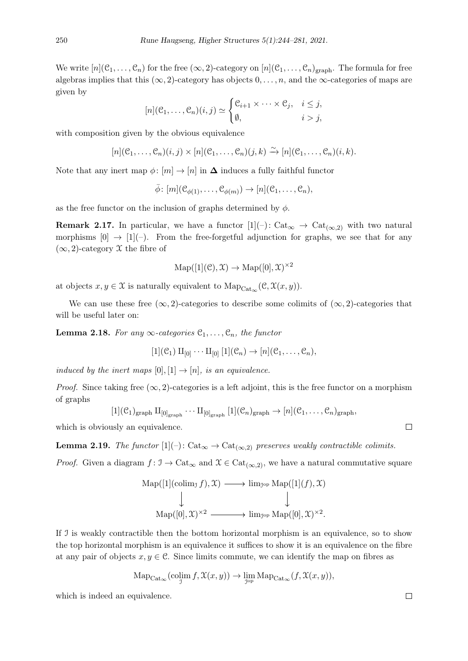We write  $[n](\mathcal{C}_1,\ldots,\mathcal{C}_n)$  for the free  $(\infty,2)$ -category on  $[n](\mathcal{C}_1,\ldots,\mathcal{C}_n)$ <sub>graph</sub>. The formula for free algebras implies that this  $(\infty, 2)$ -category has objects  $0, \ldots, n$ , and the  $\infty$ -categories of maps are given by

$$
[n](\mathcal{C}_1,\ldots,\mathcal{C}_n)(i,j) \simeq \begin{cases} \mathcal{C}_{i+1} \times \cdots \times \mathcal{C}_j, & i \leq j, \\ \emptyset, & i > j, \end{cases}
$$

with composition given by the obvious equivalence

$$
[n](\mathcal{C}_1,\ldots,\mathcal{C}_n)(i,j)\times[n](\mathcal{C}_1,\ldots,\mathcal{C}_n)(j,k)\xrightarrow{\sim} [n](\mathcal{C}_1,\ldots,\mathcal{C}_n)(i,k).
$$

Note that any inert map  $\phi: [m] \to [n]$  in  $\Delta$  induces a fully faithful functor

 $\overline{\phi}$ :  $[m](\mathcal{C}_{\phi(1)}, \ldots, \mathcal{C}_{\phi(m)}) \to [n](\mathcal{C}_1, \ldots, \mathcal{C}_n),$ 

as the free functor on the inclusion of graphs determined by  $\phi$ .

**Remark 2.17.** In particular, we have a functor  $[1](-)$ : Cat<sub> $\infty$ </sub>  $\to$  Cat<sub> $(\infty,2)$ </sub> with two natural morphisms  $[0] \rightarrow [1](-)$ . From the free-forgetful adjunction for graphs, we see that for any  $(\infty, 2)$ -category X the fibre of

$$
Map([1](\mathcal{C}), \mathfrak{X}) \to Map([0], \mathfrak{X})^{\times 2}
$$

at objects  $x, y \in \mathfrak{X}$  is naturally equivalent to  $\text{Map}_{\text{Cat}_{\infty}}(\mathfrak{C}, \mathfrak{X}(x, y)).$ 

We can use these free  $(\infty, 2)$ -categories to describe some colimits of  $(\infty, 2)$ -categories that will be useful later on:

<span id="page-6-0"></span>**Lemma 2.18.** For any  $\infty$ -categories  $\mathcal{C}_1, \ldots, \mathcal{C}_n$ , the functor

$$
[1](\mathcal{C}_1) \amalg_{[0]} \cdots \amalg_{[0]} [1](\mathcal{C}_n) \to [n](\mathcal{C}_1, \ldots, \mathcal{C}_n),
$$

induced by the inert maps  $[0], [1] \rightarrow [n]$ , is an equivalence.

*Proof.* Since taking free  $(\infty, 2)$ -categories is a left adjoint, this is the free functor on a morphism of graphs

$$
[1](\mathcal{C}_1)_{\text{graph}} \amalg_{[0]_{\text{graph}}} \cdots \amalg_{[0]_{\text{graph}}} [1](\mathcal{C}_n)_{\text{graph}} \rightarrow [n](\mathcal{C}_1, \ldots, \mathcal{C}_n)_{\text{graph}},
$$

which is obviously an equivalence.

<span id="page-6-1"></span>**Lemma 2.19.** The functor  $[1](-)$ : Cat<sub>∞</sub>  $\rightarrow$  Cat<sub>(∞,2)</sub> preserves weakly contractible colimits.

*Proof.* Given a diagram  $f: \mathcal{I} \to \mathrm{Cat}_{\infty}$  and  $\mathcal{X} \in \mathrm{Cat}_{(\infty,2)}$ , we have a natural commutative square

$$
Map([1](\text{colim}_{\mathcal{I}} f), \mathcal{X}) \longrightarrow \lim_{\mathcal{I}^{\text{op}}} \text{Map}([1](f), \mathcal{X})
$$
  

$$
\downarrow \qquad \qquad \downarrow
$$
  

$$
\text{Map}([0], \mathcal{X})^{\times 2} \longrightarrow \text{lim}_{\mathcal{I}^{\text{op}}} \text{Map}([0], \mathcal{X})^{\times 2}.
$$

If I is weakly contractible then the bottom horizontal morphism is an equivalence, so to show the top horizontal morphism is an equivalence it suffices to show it is an equivalence on the fibre at any pair of objects  $x, y \in \mathbb{C}$ . Since limits commute, we can identify the map on fibres as

$$
\mathrm{Map}_{\mathrm{Cat}_{\infty}}(\mathrm{colim}_\mathfrak{I} f, \mathfrak{X}(x, y)) \to \lim_{\mathfrak{I}^{\mathrm{op}}} \mathrm{Map}_{\mathrm{Cat}_{\infty}}(f, \mathfrak{X}(x, y)),
$$

<span id="page-6-2"></span>which is indeed an equivalence.

 $\Box$ 

 $\Box$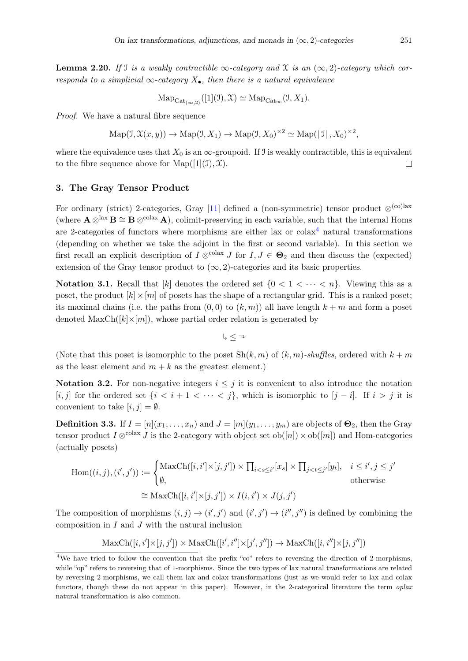**Lemma 2.20.** If J is a weakly contractible  $\infty$ -category and X is an  $(\infty, 2)$ -category which corresponds to a simplicial  $\infty$ -category  $X_{\bullet}$ , then there is a natural equivalence

$$
\mathrm{Map}_{\mathrm{Cat}_{(\infty,2)}}([1](\mathcal{I}), \mathfrak{X}) \simeq \mathrm{Map}_{\mathrm{Cat}_{\infty}}(\mathfrak{I}, X_1).
$$

Proof. We have a natural fibre sequence

$$
\mathrm{Map}(\mathcal{I}, \mathcal{X}(x, y)) \to \mathrm{Map}(\mathcal{I}, X_1) \to \mathrm{Map}(\mathcal{I}, X_0)^{\times 2} \simeq \mathrm{Map}(\|\mathcal{I}\|, X_0)^{\times 2},
$$

where the equivalence uses that  $X_0$  is an  $\infty$ -groupoid. If J is weakly contractible, this is equivalent to the fibre sequence above for  $\text{Map}([1](\mathcal{I}), \mathcal{X})$ .  $\Box$ 

## <span id="page-7-0"></span>3. The Gray Tensor Product

For ordinary (strict) 2-categories, Gray [\[11\]](#page-36-9) defined a (non-symmetric) tensor product  $\otimes^{\text{(co)lex}}$ (where  $\mathbf{A} \otimes^{\text{lax}} \mathbf{B} \cong \mathbf{B} \otimes^{\text{colax}} \mathbf{A}$ ), colimit-preserving in each variable, such that the internal Homs are 2-categories of functors where morphisms are either lax or  $colax<sup>4</sup>$  $colax<sup>4</sup>$  $colax<sup>4</sup>$  natural transformations (depending on whether we take the adjoint in the first or second variable). In this section we first recall an explicit description of  $I \otimes^{colax} J$  for  $I, J \in \Theta_2$  and then discuss the (expected) extension of the Gray tensor product to  $(\infty, 2)$ -categories and its basic properties.

Notation 3.1. Recall that  $[k]$  denotes the ordered set  $\{0 \leq 1 \leq \cdots \leq n\}$ . Viewing this as a poset, the product  $[k] \times [m]$  of posets has the shape of a rectangular grid. This is a ranked poset; its maximal chains (i.e. the paths from  $(0,0)$  to  $(k,m)$ ) all have length  $k+m$  and form a poset denoted  $\text{MaxCh}([k] \times [m])$ , whose partial order relation is generated by

 $\downarrow \leq \lnot$ 

(Note that this poset is isomorphic to the poset  $\text{Sh}(k, m)$  of  $(k, m)$ -shuffles, ordered with  $k + m$ as the least element and  $m + k$  as the greatest element.)

Notation 3.2. For non-negative integers  $i \leq j$  it is convenient to also introduce the notation [i, j] for the ordered set  $\{i < i+1 < \cdots < j\}$ , which is isomorphic to  $[j-i]$ . If  $i > j$  it is convenient to take  $[i, j] = \emptyset$ .

<span id="page-7-2"></span>**Definition 3.3.** If  $I = [n](x_1, \ldots, x_n)$  and  $J = [m](y_1, \ldots, y_m)$  are objects of  $\Theta_2$ , then the Gray tensor product  $I \otimes^{\text{colax}} J$  is the 2-category with object set  $ob([n]) \times ob([m])$  and Hom-categories (actually posets)

$$
\text{Hom}((i,j),(i',j')) := \begin{cases} \text{MaxCh}([i,i'] \times [j,j']) \times \prod_{i < s \le i'} [x_s] \times \prod_{j < t \le j'} [y_t], & i \le i', j \le j' \\ \emptyset, & \text{otherwise} \end{cases}
$$
\n
$$
\cong \text{MaxCh}([i,i'] \times [j,j']) \times I(i,i') \times J(j,j')
$$

The composition of morphisms  $(i, j) \rightarrow (i', j')$  and  $(i', j') \rightarrow (i'', j'')$  is defined by combining the composition in  $I$  and  $J$  with the natural inclusion

$$
\text{MaxCh}([i, i'] \times [j, j']) \times \text{MaxCh}([i', i''] \times [j', j'']) \to \text{MaxCh}([i, i''] \times [j, j''])
$$

<span id="page-7-1"></span><sup>&</sup>lt;sup>4</sup>We have tried to follow the convention that the prefix "co" refers to reversing the direction of 2-morphisms, while "op" refers to reversing that of 1-morphisms. Since the two types of lax natural transformations are related by reversing 2-morphisms, we call them lax and colax transformations (just as we would refer to lax and colax functors, though these do not appear in this paper). However, in the 2-categorical literature the term oplax natural transformation is also common.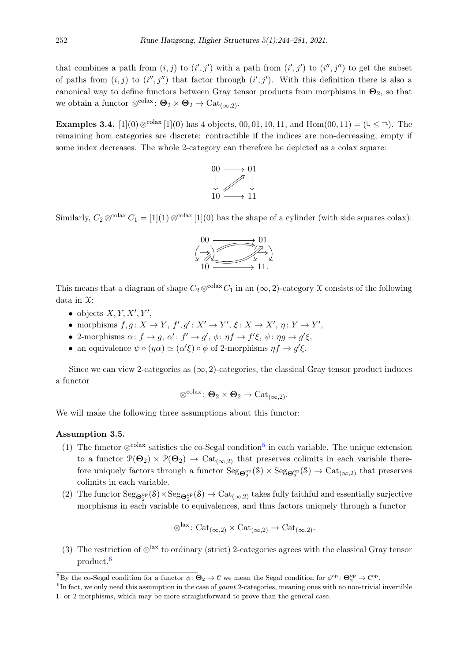that combines a path from  $(i, j)$  to  $(i', j')$  with a path from  $(i', j')$  to  $(i'', j'')$  to get the subset of paths from  $(i, j)$  to  $(i'', j'')$  that factor through  $(i', j')$ . With this definition there is also a canonical way to define functors between Gray tensor products from morphisms in  $\Theta_2$ , so that we obtain a functor  $\otimes^{\text{colax}}$ :  $\Theta_2 \times \Theta_2 \to \text{Cat}_{(\infty,2)}$ .

**Examples 3.4.** [1](0)  $\otimes^{\text{colax}}$  [1](0) has 4 objects, 00, 01, 10, 11, and Hom(00, 11) = ( $\downarrow \leq \rightarrow$ ). The remaining hom categories are discrete: contractible if the indices are non-decreasing, empty if some index decreases. The whole 2-category can therefore be depicted as a colax square:



Similarly,  $C_2 \otimes^{\text{colax}} C_1 = [1](1) \otimes^{\text{colax}} [1](0)$  has the shape of a cylinder (with side squares colax):



This means that a diagram of shape  $C_2 \otimes^{colax} C_1$  in an  $(\infty, 2)$ -category X consists of the following data in X:

- $\bullet$  objects  $X, Y, X', Y',$
- morphisms  $f, g: X \to Y, f', g': X' \to Y', \xi: X \to X', \eta: Y \to Y',$
- 2-morphisms  $\alpha: f \to g$ ,  $\alpha': f' \to g'$ ,  $\phi: \eta f \to f' \xi$ ,  $\psi: \eta g \to g' \xi$ ,
- an equivalence  $\psi \circ (\eta \alpha) \simeq (\alpha' \xi) \circ \phi$  of 2-morphisms  $\eta f \to g' \xi$ .

Since we can view 2-categories as  $(\infty, 2)$ -categories, the classical Gray tensor product induces a functor

$$
\otimes^{\text{colax}} \colon \Theta_2 \times \Theta_2 \to \text{Cat}_{(\infty,2)}.
$$

<span id="page-8-0"></span>We will make the following three assumptions about this functor:

## Assumption 3.5.

- (1) The functor  $\otimes^{\text{colax}}$  satisfies the co-Segal condition<sup>[5](#page-8-2)</sup> in each variable. The unique extension to a functor  $\mathcal{P}(\Theta_2) \times \mathcal{P}(\Theta_2) \to \text{Cat}_{(\infty,2)}$  that preserves colimits in each variable therefore uniquely factors through a functor  $Seg_{\Theta_2^{\rm op}}(\mathcal{S}) \times Seg_{\Theta_2^{\rm op}}(\mathcal{S}) \to \mathrm{Cat}_{(\infty,2)}$  that preserves colimits in each variable.
- (2) The functor  $\text{Seg}_{\mathbf{\Theta}_2^{\text{op}}}(\mathcal{S}) \times \text{Seg}_{\mathbf{\Theta}_2^{\text{op}}}(\mathcal{S}) \to \text{Cat}_{(\infty,2)}$  takes fully faithful and essentially surjective morphisms in each variable to equivalences, and thus factors uniquely through a functor

$$
\otimes^{\text{lax}} : \text{Cat}_{(\infty,2)} \times \text{Cat}_{(\infty,2)} \to \text{Cat}_{(\infty,2)}.
$$

(3) The restriction of  $\otimes^{\text{lax}}$  to ordinary (strict) 2-categories agrees with the classical Gray tensor product.[6](#page-8-3)

<span id="page-8-2"></span><span id="page-8-1"></span><sup>&</sup>lt;sup>5</sup>By the co-Segal condition for a functor  $\phi \colon \mathbf{\Theta}_2 \to \mathbf{C}$  we mean the Segal condition for  $\phi^{\rm op} \colon \mathbf{\Theta}_2^{\rm op} \to \mathbf{C}^{\rm op}$ .

<span id="page-8-3"></span> ${}^{6}$ In fact, we only need this assumption in the case of *gaunt* 2-categories, meaning ones with no non-trivial invertible 1- or 2-morphisms, which may be more straightforward to prove than the general case.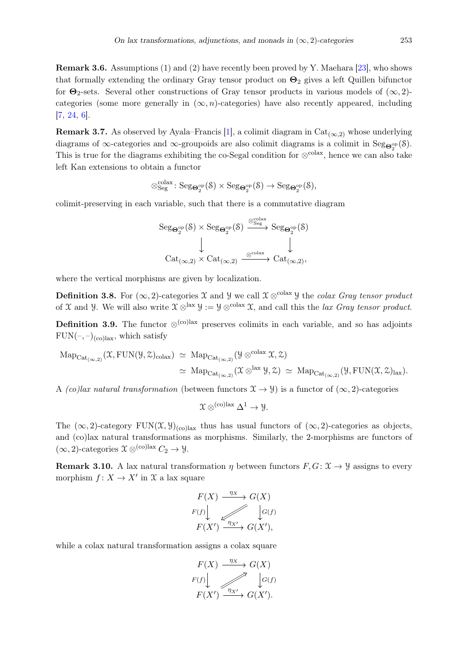Remark 3.6. Assumptions (1) and (2) have recently been proved by Y. Maehara [\[23\]](#page-37-7), who shows that formally extending the ordinary Gray tensor product on  $\Theta_2$  gives a left Quillen bifunctor for  $\Theta_2$ -sets. Several other constructions of Gray tensor products in various models of  $(\infty, 2)$ categories (some more generally in  $(\infty, n)$ -categories) have also recently appeared, including [\[7,](#page-36-10) [24,](#page-37-8) [6\]](#page-36-11).

**Remark 3.7.** As observed by Ayala–Francis [\[1\]](#page-35-0), a colimit diagram in Cat<sub>( $\infty$ ,2)</sub> whose underlying diagrams of  $\infty$ -categories and  $\infty$ -groupoids are also colimit diagrams is a colimit in Seg $_{\mathbf{\Theta}_{2}^{\mathrm{op}}}(\mathcal{S})$ . This is true for the diagrams exhibiting the co-Segal condition for  $\otimes^{\text{colax}}$ , hence we can also take left Kan extensions to obtain a functor

$$
\otimes^{\mathrm{colax}}_{\mathrm{Seg}}\colon \mathrm{Seg}_{\Theta_2^{\mathrm{op}}}(\mathcal{S})\times \mathrm{Seg}_{\Theta_2^{\mathrm{op}}}(\mathcal{S})\rightarrow \mathrm{Seg}_{\Theta_2^{\mathrm{op}}}(\mathcal{S}),
$$

colimit-preserving in each variable, such that there is a commutative diagram

$$
\begin{array}{ccc}\n\operatorname{Seg}_{\mathbf{\Theta}^{\rm op}_2}(\mathcal{S})\times\operatorname{Seg}_{\mathbf{\Theta}^{\rm op}_2}(\mathcal{S}) & \xrightarrow{\otimes_{\operatorname{Seg}}^{\operatorname{colax}}} \operatorname{Seg}_{\mathbf{\Theta}^{\rm op}_2}(\mathcal{S})\\ \downarrow & & \downarrow & \\ \operatorname{Cat}_{(\infty,2)}\times\operatorname{Cat}_{(\infty,2)} & \xrightarrow{\otimes^{\operatorname{colax}}} \operatorname{Cat}_{(\infty,2)},\n\end{array}
$$

where the vertical morphisms are given by localization.

**Definition 3.8.** For  $(\infty, 2)$ -categories X and Y we call  $\mathfrak{X} \otimes^{\text{colax}} \mathfrak{Y}$  the colax Gray tensor product of X and Y. We will also write  $\mathfrak{X} \otimes^{\text{lax}} \mathfrak{Y} := \mathfrak{Y} \otimes^{\text{colax}} \mathfrak{X}$ , and call this the *lax Gray tensor product*.

**Definition 3.9.** The functor  $\otimes^{(co)$ lax preserves colimits in each variable, and so has adjoints  $FUN(-, -)_{(co)$ lax, which satisfy

$$
\begin{array}{lcl} {\rm Map}_{{\rm Cat}_{(\infty,2)}}( \mathfrak{X}, {\rm FUN}(\mathcal{Y}, \mathcal{Z})_{\rm colax}) \;\simeq \; {\rm Map}_{{\rm Cat}_{(\infty,2)}}( \mathcal{Y} \otimes^{{\rm colax}} \mathfrak{X}, \mathcal{Z}) \\ & \simeq \; {\rm Map}_{{\rm Cat}_{(\infty,2)}}( \mathfrak{X} \otimes^{{\rm lax}} \mathcal{Y}, \mathcal{Z}) \;\simeq \; {\rm Map}_{{\rm Cat}_{(\infty,2)}}( \mathcal{Y}, {\rm FUN}(\mathfrak{X}, \mathcal{Z})_{\rm lax}). \end{array}
$$

A (co)lax natural transformation (between functors  $\mathfrak{X} \to \mathfrak{Y}$ ) is a functor of  $(\infty, 2)$ -categories

$$
\mathfrak{X} \otimes^{(co)lax} \Delta^1 \to \mathcal{Y}.
$$

The  $(\infty, 2)$ -category FUN $(\mathfrak{X}, \mathfrak{Y})_{(\text{col})}$  thus has usual functors of  $(\infty, 2)$ -categories as objects, and (co)lax natural transformations as morphisms. Similarly, the 2-morphisms are functors of  $(\infty, 2)$ -categories  $\mathfrak{X} \otimes^{(\text{co})\text{lac}} C_2 \rightarrow \mathfrak{Y}$ .

**Remark 3.10.** A lax natural transformation  $\eta$  between functors  $F, G: \mathcal{X} \to \mathcal{Y}$  assigns to every morphism  $f: X \to X'$  in X a lax square

$$
F(X) \xrightarrow{\eta_X} G(X)
$$
  

$$
F(f) \downarrow \qquad \qquad \downarrow G(f)
$$
  

$$
F(X') \xrightarrow{\eta_{X'}} G(X'),
$$

<span id="page-9-0"></span>while a colax natural transformation assigns a colax square

$$
F(X) \xrightarrow{\eta_X} G(X)
$$
  

$$
F(f) \downarrow \qquad \qquad G(f)
$$
  

$$
F(X') \xrightarrow{\eta_{X'}} G(X').
$$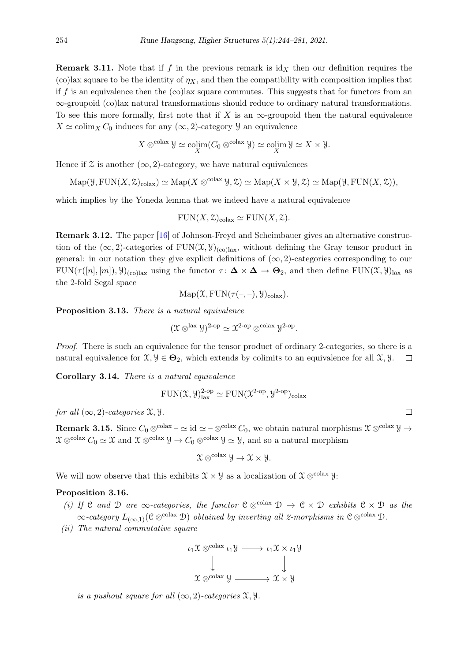**Remark 3.11.** Note that if f in the previous remark is  $\mathrm{id}_X$  then our definition requires the (co)lax square to be the identity of  $\eta_X$ , and then the compatibility with composition implies that if f is an equivalence then the  $(c)$ lax square commutes. This suggests that for functors from an ∞-groupoid (co)lax natural transformations should reduce to ordinary natural transformations. To see this more formally, first note that if X is an  $\infty$ -groupoid then the natural equivalence  $X \simeq \text{colim}_X C_0$  induces for any  $(\infty, 2)$ -category  $\mathcal Y$  an equivalence

$$
X \otimes^{\text{colax}} \mathcal{Y} \simeq \operatorname{colim}_{X} (C_0 \otimes^{\text{colax}} \mathcal{Y}) \simeq \operatorname{colim}_{X} \mathcal{Y} \simeq X \times \mathcal{Y}.
$$

Hence if  $\mathfrak X$  is another  $(\infty, 2)$ -category, we have natural equivalences

$$
\mathrm{Map}(\mathcal{Y}, \mathrm{FUN}(X, \mathcal{Z})_{\mathrm{colax}}) \simeq \mathrm{Map}(X \otimes^{\mathrm{colax}} \mathcal{Y}, \mathcal{Z}) \simeq \mathrm{Map}(X \times \mathcal{Y}, \mathcal{Z}) \simeq \mathrm{Map}(\mathcal{Y}, \mathrm{FUN}(X, \mathcal{Z})),
$$

which implies by the Yoneda lemma that we indeed have a natural equivalence

$$
FUN(X, \mathcal{Z})_{\text{colax}} \simeq FUN(X, \mathcal{Z}).
$$

Remark 3.12. The paper [\[16\]](#page-36-12) of Johnson-Freyd and Scheimbauer gives an alternative construction of the  $(\infty, 2)$ -categories of FUN $(\mathfrak{X}, \mathfrak{Y})_{(\text{colax})}$ , without defining the Gray tensor product in general: in our notation they give explicit definitions of  $(\infty, 2)$ -categories corresponding to our  $FUN(\tau([n], [m]), \mathcal{Y})_{\text{colax}}$  using the functor  $\tau : \Delta \times \Delta \to \Theta_2$ , and then define  $FUN(\mathcal{X}, \mathcal{Y})_{\text{tax}}$  as the 2-fold Segal space

$$
\mathrm{Map}(\mathfrak{X},\mathrm{FUN}(\tau(-,-),\mathfrak{Y})_{\mathrm{colax}}).
$$

<span id="page-10-3"></span>Proposition 3.13. There is a natural equivalence

$$
(\mathfrak{X} \otimes^{\text{lax}} \mathfrak{Y})^{2\text{-op}} \simeq \mathfrak{X}^{2\text{-op}} \otimes^{\text{colax}} \mathfrak{Y}^{2\text{-op}}.
$$

Proof. There is such an equivalence for the tensor product of ordinary 2-categories, so there is a natural equivalence for  $\mathfrak{X}, \mathcal{Y} \in \mathbf{\Theta}_2$ , which extends by colimits to an equivalence for all  $\mathfrak{X}, \mathcal{Y}$ .  $\Box$ 

<span id="page-10-2"></span>Corollary 3.14. There is a natural equivalence

$$
\mathrm{FUN}(\mathfrak{X}, \mathcal{Y})^{2\text{-op}}_{\mathrm{lax}} \simeq \mathrm{FUN}(\mathfrak{X}^{2\text{-op}}, \mathcal{Y}^{2\text{-op}})_{\mathrm{colax}}
$$

for all  $(\infty, 2)$ -categories  $\mathfrak{X}, \mathfrak{Y}$ .

<span id="page-10-0"></span>**Remark 3.15.** Since  $C_0 \otimes^{colax} - \simeq id \simeq -\otimes^{colax} C_0$ , we obtain natural morphisms  $\mathfrak{X} \otimes^{colax} \mathfrak{Y} \to$  $\mathfrak{X} \otimes^{\text{colax}} C_0 \simeq \mathfrak{X}$  and  $\mathfrak{X} \otimes^{\text{colax}} \mathcal{Y} \to C_0 \otimes^{\text{colax}} \mathcal{Y} \simeq \mathcal{Y}$ , and so a natural morphism

$$
\mathfrak{X} \otimes^{\text{colax}} \mathfrak{Y} \to \mathfrak{X} \times \mathfrak{Y}.
$$

We will now observe that this exhibits  $\mathfrak{X} \times \mathfrak{Y}$  as a localization of  $\mathfrak{X} \otimes^{\text{colax}} \mathfrak{Y}$ :

#### <span id="page-10-1"></span>Proposition 3.16.

- (i) If C and D are  $\infty$ -categories, the functor  $C \otimes^{colax} D \to C \times D$  exhibits  $C \times D$  as the  $\infty$ -category  $L_{(\infty,1)}(\mathcal{C} \otimes^{\text{colax}} \mathcal{D})$  obtained by inverting all 2-morphisms in  $\mathcal{C} \otimes^{\text{colax}} \mathcal{D}$ .
- (ii) The natural commutative square

$$
\iota_1 \mathfrak{X} \otimes^{\text{colax}} \iota_1 \mathcal{Y} \longrightarrow \iota_1 \mathfrak{X} \times \iota_1 \mathcal{Y}
$$
  
\n
$$
\downarrow \qquad \qquad \downarrow
$$
  
\n
$$
\mathfrak{X} \otimes^{\text{colax}} \mathcal{Y} \longrightarrow \mathfrak{X} \times \mathcal{Y}
$$

is a pushout square for all  $(\infty, 2)$ -categories  $\mathfrak{X}, \mathfrak{Y}$ .

$$
\qquad \qquad \Box
$$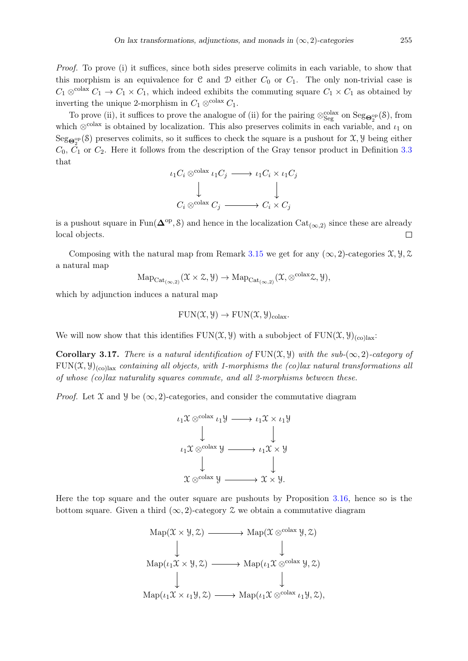Proof. To prove (i) it suffices, since both sides preserve colimits in each variable, to show that this morphism is an equivalence for C and D either  $C_0$  or  $C_1$ . The only non-trivial case is  $C_1 \otimes^{\text{colax}} C_1 \to C_1 \times C_1$ , which indeed exhibits the commuting square  $C_1 \times C_1$  as obtained by inverting the unique 2-morphism in  $C_1 \otimes^{\text{colax}} C_1$ .

To prove (ii), it suffices to prove the analogue of (ii) for the pairing  $\otimes_{Seg}^{colax}$  on  $Seg_{\mathbf{\Theta}_{2}^{\mathrm{op}}}(S)$ , from which  $\otimes^{\text{colax}}$  is obtained by localization. This also preserves colimits in each variable, and  $\iota_1$  on  $\text{Seg}_{\mathbf{\Theta}^{op}_{2}}(\mathcal{S})$  preserves colimits, so it suffices to check the square is a pushout for  $\mathfrak{X}, \mathcal{Y}$  being either  $C_0, \bar{C}_1$  or  $C_2$ . Here it follows from the description of the Gray tensor product in Definition [3.3](#page-7-2) that

$$
\begin{array}{ccc}\n\iota_1 C_i \otimes^{\text{colax}} \iota_1 C_j & \longrightarrow & \iota_1 C_i \times \iota_1 C_j \\
\downarrow & & \downarrow \\
C_i \otimes^{\text{colax}} C_j & \longrightarrow & C_i \times C_j\n\end{array}
$$

is a pushout square in Fun( $\Delta^{\text{op}}, \delta$ ) and hence in the localization Cat<sub>( $\infty, 2$ )</sub> since these are already local objects.  $\Box$ 

Composing with the natural map from Remark [3.15](#page-10-0) we get for any  $(\infty, 2)$ -categories  $\mathfrak{X}, \mathfrak{Y}, \mathfrak{Z}$ a natural map

$$
\mathrm{Map}_{\mathrm{Cat}_{(\infty,2)}}(\mathfrak{X}\times\mathfrak{X},\mathcal{Y})\to\mathrm{Map}_{\mathrm{Cat}_{(\infty,2)}}(\mathfrak{X},\otimes^{\mathrm{colax}}\mathfrak{X},\mathcal{Y}),
$$

which by adjunction induces a natural map

$$
FUNCTIONmathbf{FUN}(\mathfrak{X}, \mathcal{Y}) \to \mathbf{FUN}(\mathfrak{X}, \mathcal{Y})_{\text{colax}}.
$$

We will now show that this identifies  $FUN(\mathfrak{X}, \mathcal{Y})$  with a subobject of  $FUN(\mathfrak{X}, \mathcal{Y})_{(co)}$ lax:

**Corollary 3.17.** There is a natural identification of  $FUN(\mathcal{X}, \mathcal{Y})$  with the sub- $(\infty, 2)$ -category of  $FUN(\mathfrak{X}, \mathfrak{Y})_{(colax)}$  containing all objects, with 1-morphisms the (co)lax natural transformations all of whose (co)lax naturality squares commute, and all 2-morphisms between these.

*Proof.* Let  $\mathfrak X$  and  $\mathfrak Y$  be  $(\infty, 2)$ -categories, and consider the commutative diagram

$$
\iota_1 \mathfrak{X} \otimes^{\text{colax}} \iota_1 \mathcal{Y} \longrightarrow \iota_1 \mathfrak{X} \times \iota_1 \mathcal{Y}
$$
\n
$$
\downarrow \qquad \qquad \downarrow
$$
\n
$$
\iota_1 \mathfrak{X} \otimes^{\text{colax}} \mathcal{Y} \longrightarrow \iota_1 \mathfrak{X} \times \mathcal{Y}
$$
\n
$$
\downarrow \qquad \qquad \downarrow
$$
\n
$$
\mathfrak{X} \otimes^{\text{colax}} \mathcal{Y} \longrightarrow \mathfrak{X} \times \mathcal{Y}.
$$

Here the top square and the outer square are pushouts by Proposition [3.16,](#page-10-1) hence so is the bottom square. Given a third  $(\infty, 2)$ -category Z we obtain a commutative diagram

$$
Map(\mathcal{X} \times \mathcal{Y}, \mathcal{Z}) \longrightarrow Map(\mathcal{X} \otimes^{colax} \mathcal{Y}, \mathcal{Z})
$$
  
\n
$$
\downarrow \qquad \qquad \downarrow
$$
  
\n
$$
Map(\iota_1 \mathcal{X} \times \mathcal{Y}, \mathcal{Z}) \longrightarrow Map(\iota_1 \mathcal{X} \otimes^{colax} \mathcal{Y}, \mathcal{Z})
$$
  
\n
$$
\downarrow \qquad \qquad \downarrow
$$
  
\n
$$
Map(\iota_1 \mathcal{X} \times \iota_1 \mathcal{Y}, \mathcal{Z}) \longrightarrow Map(\iota_1 \mathcal{X} \otimes^{colax} \iota_1 \mathcal{Y}, \mathcal{Z}),
$$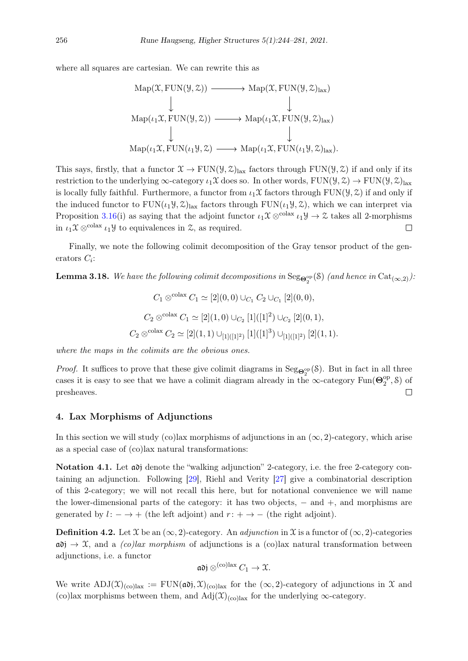where all squares are cartesian. We can rewrite this as

$$
Map(\mathfrak{X}, \text{FUN}(\mathfrak{Y}, \mathfrak{Z})) \longrightarrow Map(\mathfrak{X}, \text{FUN}(\mathfrak{Y}, \mathfrak{Z})_{\text{lax}})
$$
  
\n
$$
\downarrow \qquad \qquad \downarrow
$$
  
\n
$$
Map(\iota_1 \mathfrak{X}, \text{FUN}(\mathfrak{Y}, \mathfrak{Z})) \longrightarrow Map(\iota_1 \mathfrak{X}, \text{FUN}(\mathfrak{Y}, \mathfrak{Z})_{\text{lax}})
$$
  
\n
$$
\downarrow \qquad \qquad \downarrow
$$
  
\n
$$
Map(\iota_1 \mathfrak{X}, \text{FUN}(\iota_1 \mathfrak{Y}, \mathfrak{Z}) \longrightarrow Map(\iota_1 \mathfrak{X}, \text{FUN}(\iota_1 \mathfrak{Y}, \mathfrak{Z})_{\text{lax}}).
$$

This says, firstly, that a functor  $\mathfrak{X} \to \text{FUN}(\mathfrak{Y}, \mathfrak{X})_{\text{lazy}}$  factors through  $\text{FUN}(\mathfrak{Y}, \mathfrak{X})$  if and only if its restriction to the underlying  $\infty$ -category  $\iota_1\mathfrak{X}$  does so. In other words,  $FUN(\mathcal{Y}, \mathcal{Z}) \to FUN(\mathcal{Y}, \mathcal{Z})$ lax is locally fully faithful. Furthermore, a functor from  $\iota_1\mathfrak{X}$  factors through FUN( $\mathfrak{Y}, \mathfrak{Z}$ ) if and only if the induced functor to  $FUN(\iota_1 \mathcal{Y}, \mathcal{Z})_{\text{lazy}}$  factors through  $FUN(\iota_1 \mathcal{Y}, \mathcal{Z})$ , which we can interpret via Proposition [3.16\(](#page-10-1)i) as saying that the adjoint functor  $\iota_1\mathfrak{X} \otimes^{\text{colax}} \iota_1\mathfrak{Y} \to \mathfrak{X}$  takes all 2-morphisms in  $\iota_1\mathfrak{X} \otimes^{\text{colax}} \iota_1 \mathfrak{Y}$  to equivalences in  $\mathfrak{X}$ , as required.  $\Box$ 

Finally, we note the following colimit decomposition of the Gray tensor product of the generators  $C_i$ :

<span id="page-12-2"></span>**Lemma 3.18.** We have the following colimit decompositions in  $\text{Seg}_{\mathbf{\Theta}^{\rm{op}}_2}(\mathcal{S})$  (and hence in  $\text{Cat}_{(\infty,2)}$ ):

$$
C_1 \otimes^{\text{colax}} C_1 \simeq [2](0,0) \cup_{C_1} C_2 \cup_{C_1} [2](0,0),
$$
  

$$
C_2 \otimes^{\text{colax}} C_1 \simeq [2](1,0) \cup_{C_2} [1]([1]^2) \cup_{C_2} [2](0,1),
$$
  

$$
C_2 \otimes^{\text{colax}} C_2 \simeq [2](1,1) \cup_{[1]([1]^2)} [1]([1]^3) \cup_{[1]([1]^2)} [2](1,1).
$$

where the maps in the colimits are the obvious ones.

*Proof.* It suffices to prove that these give colimit diagrams in  $\text{Seg}_{\mathbf{\Theta}_2^{\text{op}}}(\mathcal{S})$ . But in fact in all three cases it is easy to see that we have a colimit diagram already in the  $\infty$ -category Fun( $\Theta_2^{\text{op}}$  $_2^{\text{op}},\text{\&}$ ) of  $\Box$ presheaves.

#### <span id="page-12-0"></span>4. Lax Morphisms of Adjunctions

In this section we will study (co)lax morphisms of adjunctions in an  $(\infty, 2)$ -category, which arise as a special case of (co)lax natural transformations:

Notation 4.1. Let  $\omega$  denote the "walking adjunction" 2-category, i.e. the free 2-category containing an adjunction. Following [\[29\]](#page-37-9), Riehl and Verity [\[27\]](#page-37-1) give a combinatorial description of this 2-category; we will not recall this here, but for notational convenience we will name the lower-dimensional parts of the category: it has two objects,  $-$  and  $+$ , and morphisms are generated by  $l: - \rightarrow +$  (the left adjoint) and  $r: + \rightarrow -$  (the right adjoint).

**Definition 4.2.** Let  $\mathfrak X$  be an  $(\infty, 2)$ -category. An *adjunction* in  $\mathfrak X$  is a functor of  $(\infty, 2)$ -categories  $\alpha$ i  $\rightarrow \mathcal{X}$ , and a *(co)lax morphism* of adjunctions is a *(co)lax natural transformation between* adjunctions, i.e. a functor

$$
\mathfrak{adj} \otimes^{(co) \mathrm{lax}} C_1 \to \mathfrak{X}.
$$

<span id="page-12-1"></span>We write  $\text{ADJ}(\mathfrak{X})_{\text{(col)}\text{tax}} := \text{FUN}(\mathfrak{adj}, \mathfrak{X})_{\text{(col)}\text{tax}}$  for the  $(\infty, 2)$ -category of adjunctions in X and (co)lax morphisms between them, and  $\text{Adj}(\mathfrak{X})_{(\text{col})_{\text{ax}}}$  for the underlying  $\infty$ -category.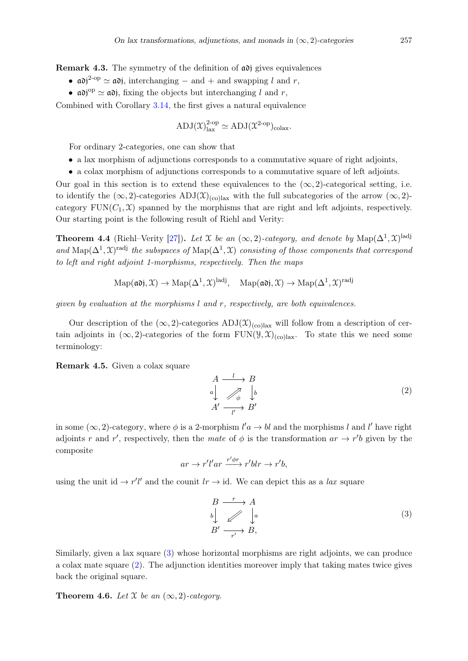Remark 4.3. The symmetry of the definition of  $\alpha$ <sup>o</sup> gives equivalences

- $\mathfrak{adj}^{2-\text{op}} \simeq \mathfrak{adj}$ , interchanging and + and swapping l and r,
- $\mathfrak{adj}^{\text{op}} \simeq \mathfrak{adj}$ , fixing the objects but interchanging l and r,

Combined with Corollary [3.14,](#page-10-2) the first gives a natural equivalence

$$
ADJ(\mathfrak{X})^{2\text{-op}}_{\text{lax}} \simeq ADJ(\mathfrak{X}^{2\text{-op}})_{\text{colax}}.
$$

For ordinary 2-categories, one can show that

- a lax morphism of adjunctions corresponds to a commutative square of right adjoints,
- a colax morphism of adjunctions corresponds to a commutative square of left adjoints.

Our goal in this section is to extend these equivalences to the  $(\infty, 2)$ -categorical setting, i.e. to identify the  $(\infty, 2)$ -categories ADJ $(\mathfrak{X})_{(\text{collax})}$  with the full subcategories of the arrow  $(\infty, 2)$ category  $FUN(C_1, \mathcal{X})$  spanned by the morphisms that are right and left adjoints, respectively. Our starting point is the following result of Riehl and Verity:

<span id="page-13-2"></span>**Theorem 4.4** (Riehl–Verity [\[27\]](#page-37-1)). Let X be an  $(\infty, 2)$ -category, and denote by  $\text{Map}(\Delta^1, \mathfrak{X})^{\text{ladj}}$ and Map( $\Delta^1$ , X)<sup>radj</sup> the subspaces of Map( $\Delta^1$ , X) consisting of those components that correspond to left and right adjoint 1-morphisms, respectively. Then the maps

$$
\mathrm{Map}(\mathfrak{ad}) , \mathfrak{X}) \to \mathrm{Map}(\Delta^1, \mathfrak{X})^{\mathrm{ladj}}, \quad \mathrm{Map}(\mathfrak{ad}) , \mathfrak{X}) \to \mathrm{Map}(\Delta^1, \mathfrak{X})^{\mathrm{radj}}
$$

given by evaluation at the morphisms  $l$  and  $r$ , respectively, are both equivalences.

Our description of the  $(\infty, 2)$ -categories  $\text{ADJ}(\mathfrak{X})_{(\text{col})\text{ax}}$  will follow from a description of certain adjoints in  $(\infty, 2)$ -categories of the form FUN( $\mathcal{Y}, \mathcal{X})_{(\text{collax})}$ . To state this we need some terminology:

Remark 4.5. Given a colax square

<span id="page-13-1"></span>
$$
A \xrightarrow{l} B
$$
  
\n
$$
a \downarrow \qquad \nearrow \qquad b
$$
  
\n
$$
A' \xrightarrow[l']{} B'
$$
  
\n
$$
(2)
$$

in some  $(\infty, 2)$ -category, where  $\phi$  is a 2-morphism  $l'a \to bl$  and the morphisms l and l' have right adjoints r and r', respectively, then the mate of  $\phi$  is the transformation  $ar \rightarrow r'b$  given by the composite

$$
ar \to r'l'ar \xrightarrow{r'\phi r} r'blr \to r'b,
$$

using the unit id  $\rightarrow r'l'$  and the counit  $lr \rightarrow id$ . We can depict this as a *lax* square

<span id="page-13-0"></span>
$$
\begin{array}{ccc}\nB & \xrightarrow{r} & A \\
b & \nearrow & a \\
B' & \xrightarrow{r'} & B,\n\end{array} \tag{3}
$$

Similarly, given a lax square [\(3\)](#page-13-0) whose horizontal morphisms are right adjoints, we can produce a colax mate square [\(2\)](#page-13-1). The adjunction identities moreover imply that taking mates twice gives back the original square.

<span id="page-13-3"></span>Theorem 4.6. Let  $\mathfrak X$  be an  $(\infty, 2)$ -category.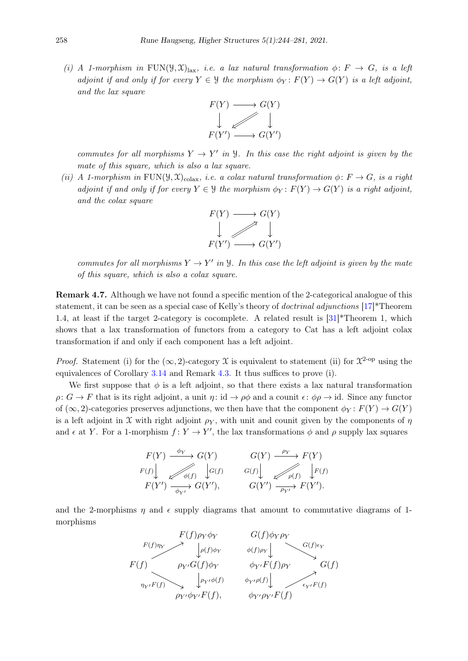(i) A 1-morphism in FUN( $\mathcal{Y}, \mathcal{X}$ )<sub>lax</sub>, i.e. a lax natural transformation  $\phi \colon F \to G$ , is a left adjoint if and only if for every  $Y \in \mathcal{Y}$  the morphism  $\phi_Y \colon F(Y) \to G(Y)$  is a left adjoint, and the lax square



commutes for all morphisms  $Y \to Y'$  in  $\mathcal{Y}$ . In this case the right adjoint is given by the mate of this square, which is also a lax square.

(ii) A 1-morphism in FUN( $\mathcal{Y}, \mathcal{X}_{\text{colax}}$ , i.e. a colax natural transformation  $\phi \colon F \to G$ , is a right adjoint if and only if for every  $Y \in \mathcal{Y}$  the morphism  $\phi_Y \colon F(Y) \to G(Y)$  is a right adjoint, and the colax square



commutes for all morphisms  $Y \to Y'$  in  $\mathcal{Y}$ . In this case the left adjoint is given by the mate of this square, which is also a colax square.

Remark 4.7. Although we have not found a specific mention of the 2-categorical analogue of this statement, it can be seen as a special case of Kelly's theory of doctrinal adjunctions [\[17\]](#page-36-13)\*Theorem 1.4, at least if the target 2-category is cocomplete. A related result is  $[31]^*$  $[31]^*$ Theorem 1, which shows that a lax transformation of functors from a category to Cat has a left adjoint colax transformation if and only if each component has a left adjoint.

*Proof.* Statement (i) for the  $(\infty, 2)$ -category X is equivalent to statement (ii) for  $\mathcal{X}^2$ -op using the equivalences of Corollary [3.14](#page-10-2) and Remark [4.3.](#page-12-1) It thus suffices to prove (i).

We first suppose that  $\phi$  is a left adjoint, so that there exists a lax natural transformation  $\rho: G \to F$  that is its right adjoint, a unit  $\eta: id \to \rho\phi$  and a counit  $\epsilon: \phi \rho \to id$ . Since any functor of (∞, 2)-categories preserves adjunctions, we then have that the component  $\phi_Y : F(Y) \to G(Y)$ is a left adjoint in X with right adjoint  $\rho_Y$ , with unit and counit given by the components of  $\eta$ and  $\epsilon$  at Y. For a 1-morphism  $f: Y \to Y'$ , the lax transformations  $\phi$  and  $\rho$  supply lax squares

$$
F(Y) \xrightarrow{\phi_Y} G(Y) \qquad G(Y) \xrightarrow{\rho_Y} F(Y)
$$
  
\n
$$
F(f) \downarrow \qquad \qquad \phi(f) \qquad G(f) \downarrow \qquad \qquad G(f) \downarrow \qquad \qquad \phi(f) \downarrow \qquad F(f)
$$
  
\n
$$
F(Y') \xrightarrow{\phi_{Y'}} G(Y'), \qquad \qquad G(Y') \xrightarrow{\rho_{Y'}} F(Y').
$$

and the 2-morphisms  $\eta$  and  $\epsilon$  supply diagrams that amount to commutative diagrams of 1morphisms

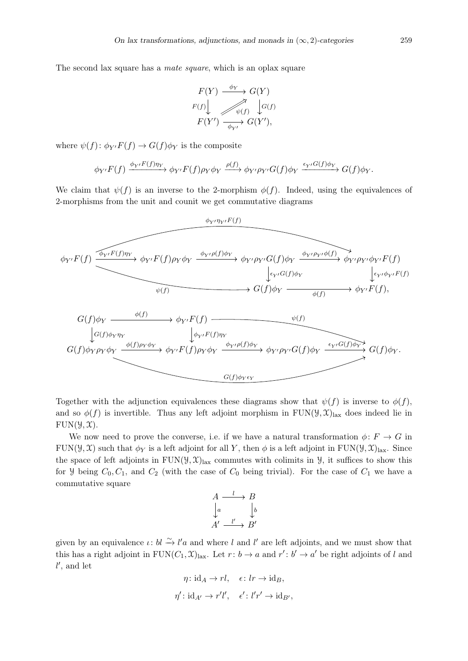The second lax square has a *mate square*, which is an oplax square

$$
F(Y) \xrightarrow{\phi_Y} G(Y)
$$
  
\n
$$
F(f) \downarrow \qquad \qquad \downarrow G(f)
$$
  
\n
$$
F(Y') \xrightarrow{\phi_{Y'}} G(Y'),
$$

where  $\psi(f)$ :  $\phi_{Y'}F(f) \to G(f)\phi_Y$  is the composite

$$
\phi_{Y'}F(f) \xrightarrow{\phi_{Y'}F(f)\eta_Y} \phi_{Y'}F(f)\rho_Y\phi_Y \xrightarrow{\rho(f)} \phi_{Y'}\rho_{Y'}G(f)\phi_Y \xrightarrow{\epsilon_{Y'}G(f)\phi_Y} G(f)\phi_Y.
$$

We claim that  $\psi(f)$  is an inverse to the 2-morphism  $\phi(f)$ . Indeed, using the equivalences of 2-morphisms from the unit and counit we get commutative diagrams



Together with the adjunction equivalences these diagrams show that  $\psi(f)$  is inverse to  $\phi(f)$ , and so  $\phi(f)$  is invertible. Thus any left adjoint morphism in FUN( $\mathcal{Y}, \mathcal{X}$ )<sub>lax</sub> does indeed lie in  $FUN(\mathcal{Y}, \mathcal{X}).$ 

We now need to prove the converse, i.e. if we have a natural transformation  $\phi: F \to G$  in FUN( $\mathcal{Y}, \mathcal{X}$ ) such that  $\phi_Y$  is a left adjoint for all Y, then  $\phi$  is a left adjoint in FUN( $\mathcal{Y}, \mathcal{X}$ )<sub>lax</sub>. Since the space of left adjoints in  $FUN(\mathcal{Y}, \mathcal{X})_{\text{lazy}}$  commutes with colimits in  $\mathcal{Y}$ , it suffices to show this for *y* being  $C_0, C_1$ , and  $C_2$  (with the case of  $C_0$  being trivial). For the case of  $C_1$  we have a commutative square

$$
A \xrightarrow{l} B
$$
  
\n
$$
\downarrow a
$$
  
\n
$$
A' \xrightarrow{l'} B'
$$

given by an equivalence  $\iota: bl \xrightarrow{\sim} l'a$  and where l and l' are left adjoints, and we must show that this has a right adjoint in  $\text{FUN}(C_1, \mathfrak{X})_{\text{tax}}$ . Let  $r: b \to a$  and  $r': b' \to a'$  be right adjoints of l and  $l'$ , and let

$$
\eta: \mathrm{id}_A \to rl, \quad \epsilon: lr \to \mathrm{id}_B,
$$
  

$$
\eta': \mathrm{id}_{A'} \to r'l', \quad \epsilon': l'r' \to \mathrm{id}_{B'},
$$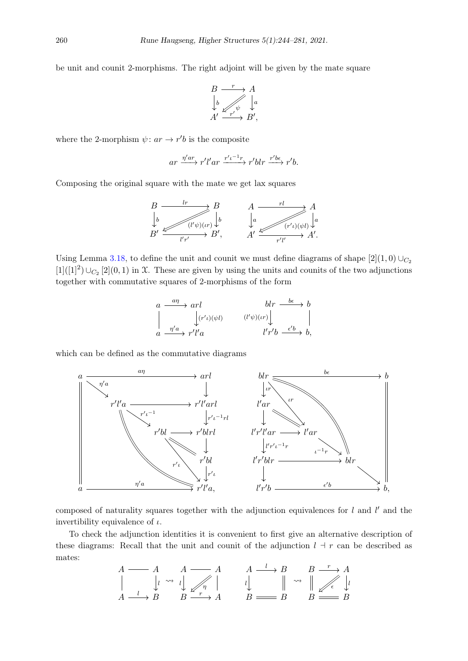be unit and counit 2-morphisms. The right adjoint will be given by the mate square

$$
B \xrightarrow{r} A
$$
  
\n
$$
\downarrow b
$$
  
\n
$$
A' \xrightarrow{r'} B',
$$

where the 2-morphism  $\psi: ar \to r'b$  is the composite

$$
ar \xrightarrow{\eta'ar} r'l'ar \xrightarrow{r't^{-1}r} r'blr \xrightarrow{r'b\epsilon} r'b.
$$

Composing the original square with the mate we get lax squares

$$
B \xrightarrow{\quad l r \quad} B \qquad A \xrightarrow{\quad r l \quad} A
$$
  
\n
$$
B' \xrightarrow{\quad (l' \psi)(\iota r) \downarrow} B', \qquad A' \xrightarrow{\quad r l \quad} A'.
$$
  
\n
$$
B' \xrightarrow{\quad (l' \psi)(\iota r) \downarrow} B', \qquad A' \xrightarrow{\quad (r' \iota)(\psi l) \downarrow} A'.
$$

Using Lemma [3.18,](#page-12-2) to define the unit and counit we must define diagrams of shape  $[2](1,0) \cup_{C_2}$  $[1]([1]^2) \cup_{C_2} [2](0,1)$  in X. These are given by using the units and counits of the two adjunctions together with commutative squares of 2-morphisms of the form

$$
\begin{array}{ccc}\n a & \xrightarrow{a\eta} & \text{arl} & \text{blr} & \xrightarrow{b\epsilon} & b \\
 \parallel & \downarrow (r'\iota)(\psi l) & & (\mathit{l}'\psi)(\iota r) \downarrow & \parallel \\
 a & \xrightarrow{\eta' a} & r'l'a & & l'r'b & \xrightarrow{\epsilon' b} & b,\n\end{array}
$$

which can be defined as the commutative diagrams



composed of naturality squares together with the adjunction equivalences for  $l$  and  $l'$  and the invertibility equivalence of  $\iota$ .

To check the adjunction identities it is convenient to first give an alternative description of these diagrams: Recall that the unit and counit of the adjunction  $l + r$  can be described as mates:

$$
\begin{array}{ccc}\nA \longrightarrow A & A \longrightarrow A & A \longrightarrow B & B \longrightarrow A \\
\parallel & \downarrow & \leadsto \downarrow & \nearrow & \parallel & \downarrow & \parallel & \leadsto & \parallel \nearrow & \epsilon \\
A \longrightarrow B & B \longrightarrow A & B \longrightarrow B & B \longrightarrow B & B \\
\end{array}
$$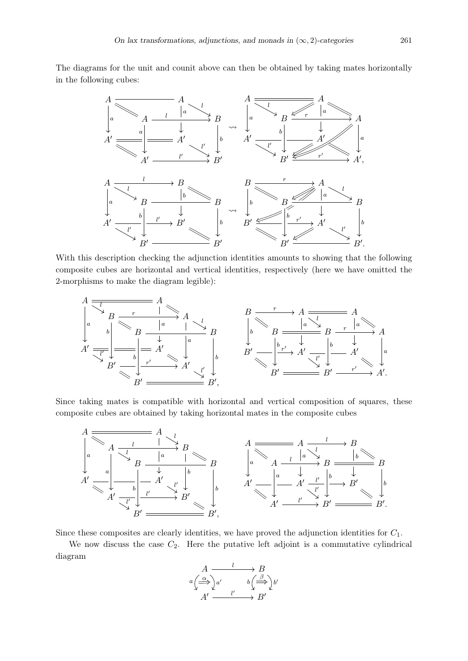The diagrams for the unit and counit above can then be obtained by taking mates horizontally in the following cubes:



With this description checking the adjunction identities amounts to showing that the following composite cubes are horizontal and vertical identities, respectively (here we have omitted the 2-morphisms to make the diagram legible):



Since taking mates is compatible with horizontal and vertical composition of squares, these composite cubes are obtained by taking horizontal mates in the composite cubes



Since these composites are clearly identities, we have proved the adjunction identities for  $C_1$ .

We now discuss the case  $C_2$ . Here the putative left adjoint is a commutative cylindrical diagram

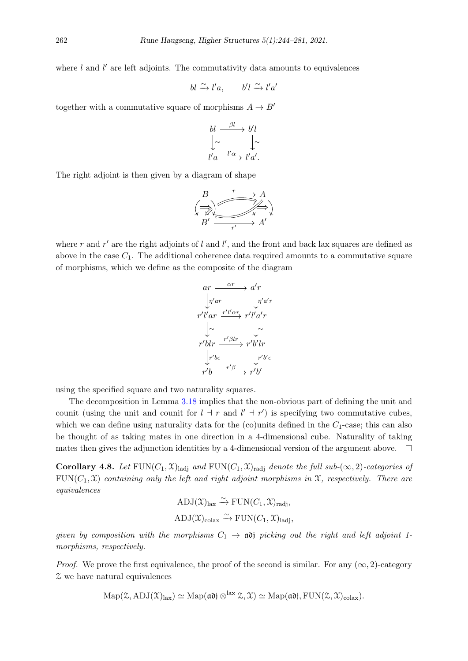where  $l$  and  $l'$  are left adjoints. The commutativity data amounts to equivalences

$$
bl \xrightarrow{\sim} l'a, \qquad b'l \xrightarrow{\sim} l'a'
$$

together with a commutative square of morphisms  $A \rightarrow B'$ 

$$
bl \xrightarrow{\beta l} b'l
$$
  

$$
\downarrow \sim \qquad \downarrow \sim
$$
  

$$
l'a \xrightarrow{l'a} l'a'.
$$

The right adjoint is then given by a diagram of shape

$$
\begin{array}{ccc}\n & B & \xrightarrow{r} & A \\
 \leftarrow & & & \\
 B' & & & & \\
 & & & & & \\
 & & & & & \\
 & & & & & \\
 \end{array}
$$

where r and  $r'$  are the right adjoints of l and l', and the front and back lax squares are defined as above in the case  $C_1$ . The additional coherence data required amounts to a commutative square of morphisms, which we define as the composite of the diagram

$$
ar \xrightarrow{\alpha r} a'r
$$
\n
$$
r'l'ar \xrightarrow[r'/a'r] \qquad \int r'a'r
$$
\n
$$
\downarrow \sim \qquad \downarrow \sim
$$
\n
$$
r'blr \xrightarrow{r'\beta lr} r'b'lr
$$
\n
$$
\downarrow r'bc \qquad \qquad \downarrow r'b' \epsilon
$$
\n
$$
r'b \xrightarrow{r'\beta} r'b'
$$

using the specified square and two naturality squares.

The decomposition in Lemma [3.18](#page-12-2) implies that the non-obvious part of defining the unit and counit (using the unit and counit for  $l + r$  and  $l' + r'$ ) is specifying two commutative cubes, which we can define using naturality data for the (co)units defined in the  $C_1$ -case; this can also be thought of as taking mates in one direction in a 4-dimensional cube. Naturality of taking mates then gives the adjunction identities by a 4-dimensional version of the argument above.  $\Box$ 

<span id="page-18-0"></span>Corollary 4.8. Let  $\text{FUN}(C_1, \mathfrak{X})_{\text{ladi}}$  and  $\text{FUN}(C_1, \mathfrak{X})_{\text{radi}}$  denote the full sub- $(\infty, 2)$ -categories of  $FUN(C_1, \mathcal{X})$  containing only the left and right adjoint morphisms in  $\mathcal{X}$ , respectively. There are equivalences

$$
ADJ(\mathcal{X})_{\text{lax}} \xrightarrow{\sim} \text{FUN}(C_1, \mathcal{X})_{\text{radi}},
$$
  

$$
ADJ(\mathcal{X})_{\text{colax}} \xrightarrow{\sim} \text{FUN}(C_1, \mathcal{X})_{\text{ladj}},
$$

given by composition with the morphisms  $C_1 \rightarrow \infty$  picking out the right and left adjoint 1morphisms, respectively.

*Proof.* We prove the first equivalence, the proof of the second is similar. For any  $(\infty, 2)$ -category Z we have natural equivalences

$$
\mathrm{Map}(\mathcal{Z}, \mathrm{ADJ}(\mathcal{X})_{\mathrm{lax}}) \simeq \mathrm{Map}(\mathfrak{ad}) \otimes^{\mathrm{lax}} \mathcal{Z}, \mathcal{X}) \simeq \mathrm{Map}(\mathfrak{ad}) , \mathrm{FUN}(\mathcal{Z}, \mathcal{X})_{\mathrm{colax}}).
$$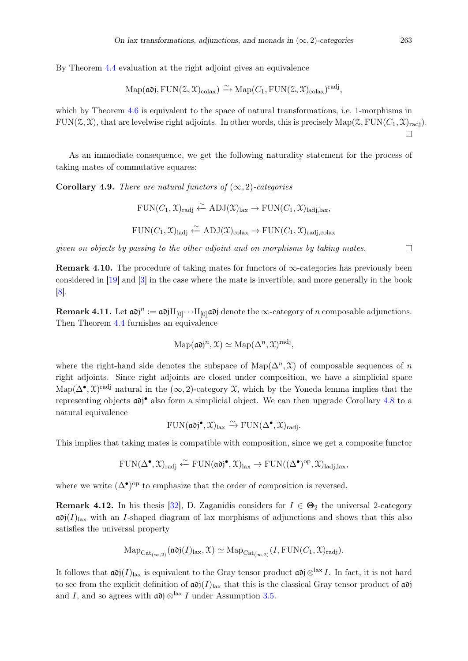By Theorem [4.4](#page-13-2) evaluation at the right adjoint gives an equivalence

$$
\mathrm{Map}(\mathfrak{ad})
$$
,  $\mathrm{FUN}(\mathcal{Z}, \mathcal{X})_{\mathrm{colax}} \rightarrow \mathrm{Map}(C_1, \mathrm{FUN}(\mathcal{Z}, \mathcal{X})_{\mathrm{colax}})^{\mathrm{rad}j}$ ,

which by Theorem [4.6](#page-13-3) is equivalent to the space of natural transformations, i.e. 1-morphisms in  $FUN(\mathcal{Z}, \mathcal{X})$ , that are levelwise right adjoints. In other words, this is precisely  $Map(\mathcal{Z}, FUN(C_1, \mathcal{X})_{\text{rad}i})$ .

As an immediate consequence, we get the following naturality statement for the process of taking mates of commutative squares:

Corollary 4.9. There are natural functors of  $(\infty, 2)$ -categories

$$
\mathrm{FUN}(C_1,\mathfrak{X})_{\mathrm{radj}} \xleftarrow{\sim} \mathrm{ADJ}(\mathfrak{X})_{\mathrm{lax}} \to \mathrm{FUN}(C_1,\mathfrak{X})_{\mathrm{ladj},\mathrm{lax}},
$$

$$
FUN(C_1, \mathfrak{X})ladj \xleftarrow{\sim} ADJ(\mathfrak{X})colax \rightarrow FUN(C_1, \mathfrak{X})radi,colax
$$

given on objects by passing to the other adjoint and on morphisms by taking mates.

**Remark 4.10.** The procedure of taking mates for functors of  $\infty$ -categories has previously been considered in [\[19\]](#page-36-14) and [\[3\]](#page-36-15) in the case where the mate is invertible, and more generally in the book [\[8\]](#page-36-16).

**Remark 4.11.** Let  $\mathfrak{adj}^n := \mathfrak{adj}\Pi_{[0]} \cdots \Pi_{[0]} \mathfrak{adj}$  denote the  $\infty$ -category of n composable adjunctions. Then Theorem [4.4](#page-13-2) furnishes an equivalence

$$
\mathrm{Map}(\mathfrak{ad})^n, \mathfrak{X}) \simeq \mathrm{Map}(\Delta^n, \mathfrak{X})^{\mathrm{radj}},
$$

where the right-hand side denotes the subspace of Map( $\Delta^n$ ,  $\mathfrak{X}$ ) of composable sequences of n right adjoints. Since right adjoints are closed under composition, we have a simplicial space Map( $\Delta^{\bullet}, \mathfrak{X}$ )<sup>radj</sup> natural in the  $(\infty, 2)$ -category X, which by the Yoneda lemma implies that the representing objects  $\overline{a}$  also form a simplicial object. We can then upgrade Corollary [4.8](#page-18-0) to a natural equivalence

$$
\mathrm{FUN}(\mathfrak{a} \mathfrak{d} \mathfrak{j}^{\bullet}, \mathfrak{X})_{\mathrm{lax}} \xrightarrow{\sim} \mathrm{FUN}(\Delta^{\bullet}, \mathfrak{X})_{\mathrm{rad} \mathfrak{j}}.
$$

This implies that taking mates is compatible with composition, since we get a composite functor

$$
\mathrm{FUN}(\Delta^\bullet,\mathfrak{X})_{\mathrm{radj}}\xleftarrow{\sim}\mathrm{FUN}(\mathfrak{a}\mathfrak{d}\mathfrak{j}^\bullet,\mathfrak{X})_{\mathrm{lax}}\to\mathrm{FUN}((\Delta^\bullet)^{\mathrm{op}},\mathfrak{X})_{\mathrm{ladj},\mathrm{lax}},
$$

where we write  $(\Delta^{\bullet})^{\text{op}}$  to emphasize that the order of composition is reversed.

<span id="page-19-0"></span>**Remark 4.12.** In his thesis [\[32\]](#page-37-3), D. Zaganidis considers for  $I \in \Theta_2$  the universal 2-category  $\mathfrak{adj}(I)_{\text{tax}}$  with an I-shaped diagram of lax morphisms of adjunctions and shows that this also satisfies the universal property

$$
\mathrm{Map}_{\mathrm{Cat}_{(\infty,2)}}(\mathfrak{adj}(I)_{\mathrm{lux}}, \mathfrak{X}) \simeq \mathrm{Map}_{\mathrm{Cat}_{(\infty,2)}}(I, \mathrm{FUN}(C_1, \mathfrak{X})_{\mathrm{rad}j}).
$$

It follows that  $\mathfrak{adj}(I)_{\text{lax}}$  is equivalent to the Gray tensor product  $\mathfrak{adj}\otimes^{\text{lax}} I$ . In fact, it is not hard to see from the explicit definition of  $\alpha \delta (I)_{\text{tax}}$  that this is the classical Gray tensor product of  $\alpha \delta$ and I, and so agrees with  $\mathfrak{adj} \otimes^{\text{lax}} I$  under Assumption [3.5.](#page-8-0)

 $\Box$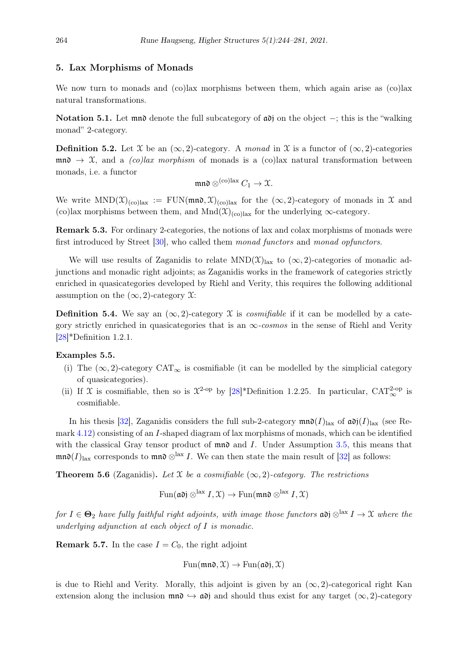## <span id="page-20-0"></span>5. Lax Morphisms of Monads

We now turn to monads and (co)lax morphisms between them, which again arise as (co)lax natural transformations.

Notation 5.1. Let mnot denote the full subcategory of  $\alpha$ ion the object –; this is the "walking" monad" 2-category.

**Definition 5.2.** Let  $\mathcal{X}$  be an  $(\infty, 2)$ -category. A monad in  $\mathcal{X}$  is a functor of  $(\infty, 2)$ -categories  $\mathfrak{m}\mathfrak{n}\rightarrow \mathfrak{X}$ , and a *(co)lax morphism* of monads is a *(co)lax natural transformation between* monads, i.e. a functor

$$
\mathfrak{m}\mathfrak{n}\mathfrak{d} \otimes^{(co) \mathrm{lax}} C_1 \to \mathfrak{X}.
$$

We write  $MND(\mathfrak{X})_{(co)lax} := \text{FUN}(\text{mn}\mathfrak{d}, \mathfrak{X})_{(co)lax}$  for the  $(\infty, 2)$ -category of monads in X and (co)lax morphisms between them, and Mnd $(\mathfrak{X})_{(colax)}$  for the underlying  $\infty$ -category.

Remark 5.3. For ordinary 2-categories, the notions of lax and colax morphisms of monads were first introduced by Street [\[30\]](#page-37-2), who called them monad functors and monad opfunctors.

We will use results of Zaganidis to relate  $MND(\mathfrak{X})_{\text{lazy}}$  to  $(\infty, 2)$ -categories of monadic adjunctions and monadic right adjoints; as Zaganidis works in the framework of categories strictly enriched in quasicategories developed by Riehl and Verity, this requires the following additional assumption on the  $(\infty, 2)$ -category  $\mathfrak{X}$ :

**Definition 5.4.** We say an  $(\infty, 2)$ -category X is *cosmifiable* if it can be modelled by a category strictly enriched in quasicategories that is an  $\infty$ -cosmos in the sense of Riehl and Verity [\[28\]](#page-37-11)\*Definition 1.2.1.

## <span id="page-20-2"></span>Examples 5.5.

- (i) The  $(\infty, 2)$ -category CAT<sub>∞</sub> is cosmifiable (it can be modelled by the simplicial category of quasicategories).
- (ii) If X is cosmitable, then so is  $\mathcal{X}^2$ -op by [\[28\]](#page-37-11)\*Definition 1.2.25. In particular, CAT<sup>2</sup>-op is cosmifiable.

In his thesis [\[32\]](#page-37-3), Zaganidis considers the full sub-2-category  $\mathfrak{mn}(\mathcal{I})_{\text{lax}}$  of  $\mathfrak{adj}(\mathcal{I})_{\text{lax}}$  (see Remark [4.12\)](#page-19-0) consisting of an I-shaped diagram of lax morphisms of monads, which can be identified with the classical Gray tensor product of  $\mathfrak{m}$  and I. Under Assumption [3.5,](#page-8-0) this means that mn $\mathfrak{d}(I)_{\text{lax}}$  corresponds to mn $\mathfrak{d}\otimes^{\text{lax}} I$ . We can then state the main result of [\[32\]](#page-37-3) as follows:

<span id="page-20-1"></span>**Theorem 5.6** (Zaganidis). Let X be a cosmifiable  $(\infty, 2)$ -category. The restrictions

$$
\operatorname{Fun}(\mathfrak{ad}) \otimes^{\text{lax}} I, \mathfrak{X}) \to \operatorname{Fun}(\mathfrak{mnd} \otimes^{\text{lax}} I, \mathfrak{X})
$$

for  $I \in \mathbf{\Theta}_2$  have fully faithful right adjoints, with image those functors  $\mathfrak{adj} \otimes^{\text{lax}} I \to \mathfrak{X}$  where the underlying adjunction at each object of I is monadic.

**Remark 5.7.** In the case  $I = C_0$ , the right adjoint

$$
Fun(\mathfrak{mn}\mathfrak{d}, \mathfrak{X}) \to Fun(\mathfrak{adj}, \mathfrak{X})
$$

is due to Riehl and Verity. Morally, this adjoint is given by an  $(\infty, 2)$ -categorical right Kan extension along the inclusion  $\mathfrak{mn} \to \mathfrak{ad}$  and should thus exist for any target  $(\infty, 2)$ -category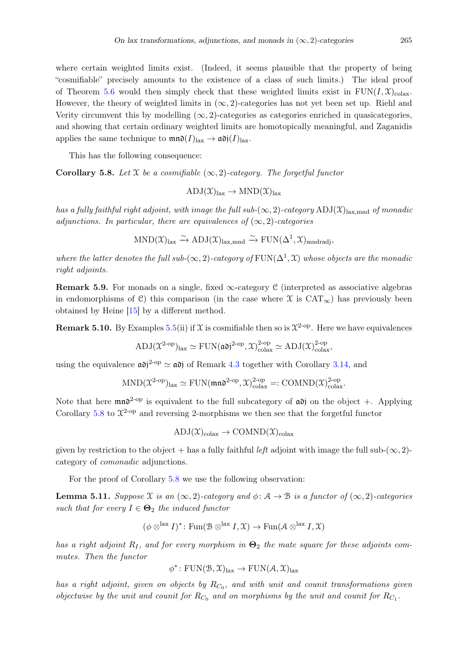where certain weighted limits exist. (Indeed, it seems plausible that the property of being "cosmifiable" precisely amounts to the existence of a class of such limits.) The ideal proof of Theorem [5.6](#page-20-1) would then simply check that these weighted limits exist in  $FUN(I, \mathcal{X})_{colax}$ . However, the theory of weighted limits in  $(\infty, 2)$ -categories has not yet been set up. Riehl and Verity circumvent this by modelling  $(\infty, 2)$ -categories as categories enriched in quasicategories, and showing that certain ordinary weighted limits are homotopically meaningful, and Zaganidis applies the same technique to  $\mathfrak{mn}(\mathcal{I})_{\text{lax}} \to \mathfrak{adj}(\mathcal{I})_{\text{lax}}$ .

This has the following consequence:

<span id="page-21-0"></span>Corollary 5.8. Let  $\mathfrak X$  be a cosmifiable  $(\infty, 2)$ -category. The forgetful functor

$$
ADJ(\mathfrak{X})_{\mathrm{lax}} \to \mathrm{MND}(\mathfrak{X})_{\mathrm{lax}}
$$

has a fully faithful right adjoint, with image the full sub- $(\infty, 2)$ -category ADJ $(\mathfrak{X})$ <sub>lax,mnd</sub> of monadic adjunctions. In particular, there are equivalences of  $(\infty, 2)$ -categories

$$
\mathrm{MND}(\mathfrak{X})_{\mathrm{lax}}\xrightarrow{\sim} \mathrm{ADJ}(\mathfrak{X})_{\mathrm{lax,mnd}}\xrightarrow{\sim} \mathrm{FUN}(\Delta^1,\mathfrak{X})_{\mathrm{mndradj}},
$$

where the latter denotes the full sub- $(\infty, 2)$ -category of  $\text{FUN}(\Delta^1, \mathfrak{X})$  whose objects are the monadic right adjoints.

**Remark 5.9.** For monads on a single, fixed  $\infty$ -category C (interpreted as associative algebras in endomorphisms of C) this comparison (in the case where  $\mathfrak X$  is  $CAT_{\infty}$ ) has previously been obtained by Heine [\[15\]](#page-36-0) by a different method.

**Remark 5.10.** By Examples [5.5\(](#page-20-2)ii) if X is cosmifiable then so is  $\mathcal{X}^2$ -op. Here we have equivalences

$$
\mathrm{ADJ}(\mathfrak{X}^{\mathrm{2-op}})_{\mathrm{lax}} \simeq \mathrm{FUN}(\mathfrak{ad})^{\mathrm{2-op}}, \mathfrak{X})_{\mathrm{colax}}^{\mathrm{2-op}} \simeq \mathrm{ADJ}(\mathfrak{X})_{\mathrm{colax}}^{\mathrm{2-op}},
$$

using the equivalence  $\mathfrak{adj}^{2\text{-op}} \simeq \mathfrak{adj}$  of Remark [4.3](#page-12-1) together with Corollary [3.14,](#page-10-2) and

$$
\mathrm{MND}(\mathfrak{X}^{\mathrm{2-op}})_{\mathrm{lax}} \simeq \mathrm{FUN}(\mathfrak{m} \mathfrak{n} \mathfrak{d}^{\mathrm{2-op}}, \mathfrak{X})^{2\text{-op}}_{\mathrm{colax}} =: \mathrm{COMND}(\mathfrak{X})^{2\text{-op}}_{\mathrm{colax}}.
$$

Note that here  $\text{mn}^2$ <sup>-op</sup> is equivalent to the full subcategory of  $\alpha\delta$  on the object +. Applying Corollary [5.8](#page-21-0) to  $\mathfrak{X}^{2-\text{op}}$  and reversing 2-morphisms we then see that the forgetful functor

$$
ADJ(\mathfrak{X})_{\text{colax}} \to \text{COMMD}(\mathfrak{X})_{\text{colax}}
$$

given by restriction to the object + has a fully faithful *left* adjoint with image the full sub- $(\infty, 2)$ category of comonadic adjunctions.

For the proof of Corollary [5.8](#page-21-0) we use the following observation:

<span id="page-21-1"></span>**Lemma 5.11.** Suppose X is an  $(\infty, 2)$ -category and  $\phi: \mathcal{A} \to \mathcal{B}$  is a functor of  $(\infty, 2)$ -categories such that for every  $I \in \mathbf{\Theta}_2$  the induced functor

$$
(\phi \otimes^{\text{lax}} I)^* \colon \text{Fun}(\mathcal{B} \otimes^{\text{lax}} I, \mathcal{X}) \to \text{Fun}(\mathcal{A} \otimes^{\text{lax}} I, \mathcal{X})
$$

has a right adjoint  $R_I$ , and for every morphism in  $\Theta_2$  the mate square for these adjoints commutes. Then the functor

$$
\phi^* \colon \mathrm{FUN}(\mathcal{B}, \mathcal{X})_{\mathrm{lax}} \to \mathrm{FUN}(\mathcal{A}, \mathcal{X})_{\mathrm{lax}}
$$

has a right adjoint, given on objects by  $R_{C_0}$ , and with unit and counit transformations given objectwise by the unit and counit for  $R_{C_0}$  and on morphisms by the unit and counit for  $R_{C_1}$ .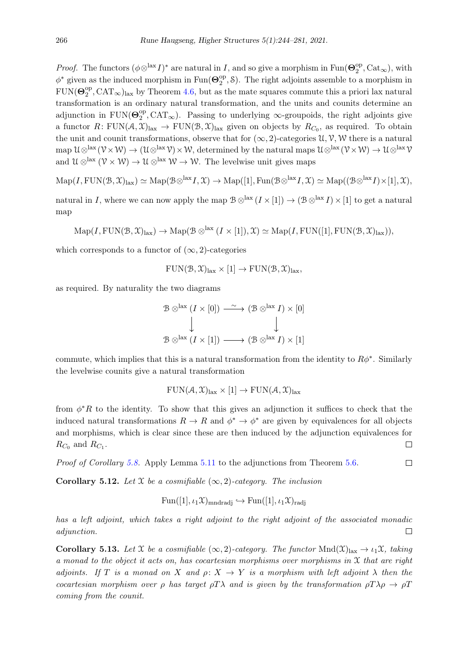*Proof.* The functors  $(\phi \otimes^{\text{lax}} I)^*$  are natural in I, and so give a morphism in Fun( $\Theta_2^{\text{op}}$  $_2^{\text{op}}, \text{Cat}_{\infty}$ ), with  $\phi^*$  given as the induced morphism in Fun( $\Theta_2^{\text{op}}$  $_{2}^{\mathrm{op}},$  S). The right adjoints assemble to a morphism in  $\text{FUN}(\boldsymbol{\Theta}_{2}^{\text{op}})$  $2^{\text{op}}$ , CAT<sub>∞</sub>)<sub>lax</sub> by Theorem [4.6,](#page-13-3) but as the mate squares commute this a priori lax natural transformation is an ordinary natural transformation, and the units and counits determine an adjunction in  $\text{FUN}(\Theta_2^{\text{op}})$  $_2^{\text{op}}, \text{CAT}_{\infty}$ ). Passing to underlying  $\infty$ -groupoids, the right adjoints give a functor  $R: \text{FUN}(\mathcal{A}, \mathcal{X})_{\text{tax}} \to \text{FUN}(\mathcal{B}, \mathcal{X})_{\text{lux}}$  given on objects by  $R_{C_0}$ , as required. To obtain the unit and counit transformations, observe that for  $(\infty, 2)$ -categories  $\mathcal{U}, \mathcal{V}, \mathcal{W}$  there is a natural map  $\mathcal{U}\otimes^{\text{lax}}(\mathcal{V}\times\mathcal{W})\to(\mathcal{U}\otimes^{\text{lax}}\mathcal{V})\times\mathcal{W}$ , determined by the natural maps  $\mathcal{U}\otimes^{\text{lax}}(\mathcal{V}\times\mathcal{W})\to\mathcal{U}\otimes^{\text{lax}}\mathcal{V}$ and  $\mathcal{U} \otimes^{\text{lax}} (\mathcal{V} \times \mathcal{W}) \to \mathcal{U} \otimes^{\text{lax}} \mathcal{W} \to \mathcal{W}$ . The levelwise unit gives maps

 $\mathrm{Map}(I, \mathrm{FUN}(\mathcal{B}, \mathcal{X})_{\mathrm{lax}}) \simeq \mathrm{Map}(\mathcal{B} \otimes^{\mathrm{lax}} I, \mathcal{X}) \to \mathrm{Map}([1], \mathrm{Fun}(\mathcal{B} \otimes^{\mathrm{lax}} I, \mathcal{X}) \simeq \mathrm{Map}((\mathcal{B} \otimes^{\mathrm{lax}} I) \times [1], \mathcal{X}),$ 

natural in I, where we can now apply the map  $\mathcal{B} \otimes^{\text{lax}} (I \times [1]) \to (\mathcal{B} \otimes^{\text{lax}} I) \times [1]$  to get a natural map

$$
\mathrm{Map}(I, \mathrm{FUN}(\mathcal{B}, \mathcal{X})_{\mathrm{lax}}) \to \mathrm{Map}(\mathcal{B} \otimes^{\mathrm{lax}} (I \times [1]), \mathcal{X}) \simeq \mathrm{Map}(I, \mathrm{FUN}([1], \mathrm{FUN}(\mathcal{B}, \mathcal{X})_{\mathrm{lax}})),
$$

which corresponds to a functor of  $(\infty, 2)$ -categories

$$
FUN(\mathcal{B}, \mathcal{X})_{\text{lax}} \times [1] \to FUN(\mathcal{B}, \mathcal{X})_{\text{lax}},
$$

as required. By naturality the two diagrams

$$
\mathcal{B} \otimes^{\text{lax}} (I \times [0]) \xrightarrow{\sim} (\mathcal{B} \otimes^{\text{lax}} I) \times [0]
$$
  

$$
\downarrow \qquad \qquad \downarrow
$$
  

$$
\mathcal{B} \otimes^{\text{lax}} (I \times [1]) \longrightarrow (\mathcal{B} \otimes^{\text{lax}} I) \times [1]
$$

commute, which implies that this is a natural transformation from the identity to  $R\phi^*$ . Similarly the levelwise counits give a natural transformation

$$
FUN(\mathcal{A}, \mathcal{X})_{\text{lazy}} \times [1] \to FUN(\mathcal{A}, \mathcal{X})_{\text{lazy}}
$$

from  $\phi^*R$  to the identity. To show that this gives an adjunction it suffices to check that the induced natural transformations  $R \to R$  and  $\phi^* \to \phi^*$  are given by equivalences for all objects and morphisms, which is clear since these are then induced by the adjunction equivalences for  $R_{C_0}$  and  $R_{C_1}$ .  $\Box$ 

Proof of Corollary [5.8.](#page-21-0) Apply Lemma [5.11](#page-21-1) to the adjunctions from Theorem [5.6.](#page-20-1)  $\Box$ 

**Corollary 5.12.** Let X be a cosmifiable  $(\infty, 2)$ -category. The inclusion

$$
\text{Fun}([1], \iota_1 \mathfrak{X})_{\text{mndradj}} \hookrightarrow \text{Fun}([1], \iota_1 \mathfrak{X})_{\text{radj}}
$$

has a left adjoint, which takes a right adjoint to the right adjoint of the associated monadic adjunction.  $\Box$ 

<span id="page-22-0"></span>**Corollary 5.13.** Let X be a cosmifiable  $(\infty, 2)$ -category. The functor Mnd $(\mathfrak{X})_{\text{lazy}} \to \iota_1 \mathfrak{X}$ , taking a monad to the object it acts on, has cocartesian morphisms over morphisms in  $X$  that are right adjoints. If T is a monad on X and  $\rho: X \to Y$  is a morphism with left adjoint  $\lambda$  then the cocartesian morphism over ρ has target  $\rho T \lambda$  and is given by the transformation  $\rho T \lambda \rho \to \rho T$ coming from the counit.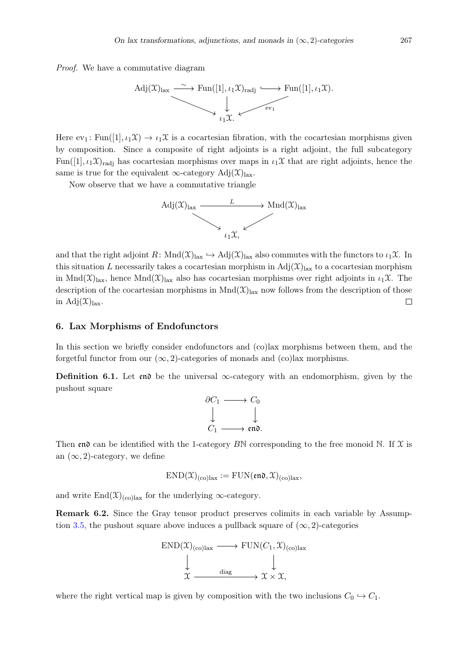Proof. We have a commutative diagram



Here  $ev_1$ : Fun([1],  $\iota_1\mathfrak{X} \to \iota_1\mathfrak{X}$  is a cocartesian fibration, with the cocartesian morphisms given by composition. Since a composite of right adjoints is a right adjoint, the full subcategory Fun([1],  $\iota_1\mathfrak{X}_{rad}$  has cocartesian morphisms over maps in  $\iota_1\mathfrak{X}$  that are right adjoints, hence the same is true for the equivalent  $\infty$ -category Adj $(\mathfrak{X})_{\text{lax}}$ .

Now observe that we have a commutative triangle



and that the right adjoint  $R: \text{Mnd}(\mathfrak{X})_{\text{lax}} \hookrightarrow \text{Adj}(\mathfrak{X})_{\text{lax}}$  also commutes with the functors to  $\iota_1\mathfrak{X}$ . In this situation L necessarily takes a cocartesian morphism in  $\text{Adj}(\mathfrak{X})_{\text{tax}}$  to a cocartesian morphism in Mnd $(\mathfrak{X})_{\text{lax}}$ , hence Mnd $(\mathfrak{X})_{\text{lax}}$  also has cocartesian morphisms over right adjoints in  $\iota_1\mathfrak{X}$ . The description of the cocartesian morphisms in  $Mnd(\mathcal{X})<sub>lax</sub>$  now follows from the description of those in Adj $(\mathfrak{X})_{\text{lax}}$ .  $\Box$ 

## 6. Lax Morphisms of Endofunctors

In this section we briefly consider endofunctors and (co)lax morphisms between them, and the forgetful functor from our  $(\infty, 2)$ -categories of monads and  $(\infty)$ lax morphisms.

**Definition 6.1.** Let end be the universal  $\infty$ -category with an endomorphism, given by the pushout square

$$
\begin{array}{ccc}\n\partial C_1 & \longrightarrow & C_0 \\
\downarrow & & \downarrow \\
C_1 & \longrightarrow & \text{end.}\n\end{array}
$$

Then end can be identified with the 1-category BN corresponding to the free monoid N. If  $\mathfrak X$  is an  $(\infty, 2)$ -category, we define

$$
END(\mathfrak{X})_{(\text{co})\text{tax}} := \text{FUN}(\mathfrak{en0}, \mathfrak{X})_{(\text{co})\text{tax}},
$$

and write  $\text{End}(\mathfrak{X})_{\text{(colax)}}$  for the underlying  $\infty$ -category.

Remark 6.2. Since the Gray tensor product preserves colimits in each variable by Assump-tion [3.5,](#page-8-0) the pushout square above induces a pullback square of  $(\infty, 2)$ -categories

$$
\begin{array}{ccc}\n\text{END}(\mathfrak{X})_{(\text{co})\text{lax}} & \longrightarrow & \text{FUN}(C_1, \mathfrak{X})_{(\text{co})\text{lax}} \\
\downarrow & \downarrow & \downarrow \\
\mathfrak{X} & \xrightarrow{\text{diag}} & \mathfrak{X} \times \mathfrak{X},\n\end{array}
$$

where the right vertical map is given by composition with the two inclusions  $C_0 \hookrightarrow C_1$ .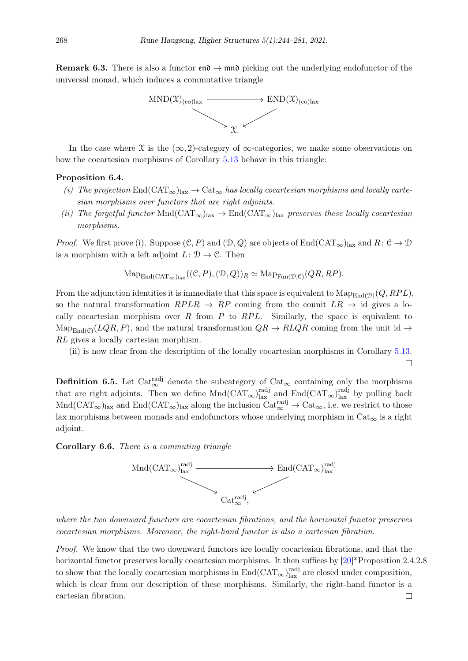**Remark 6.3.** There is also a functor  $\mathfrak{en} \to \mathfrak{mon}$  picking out the underlying endofunctor of the universal monad, which induces a commutative triangle



In the case where  $\mathfrak X$  is the  $(\infty, 2)$ -category of  $\infty$ -categories, we make some observations on how the cocartesian morphisms of Corollary [5.13](#page-22-0) behave in this triangle:

#### Proposition 6.4.

- (i) The projection  $\text{End}(CAT_\infty)_{\text{law}} \to \text{Cat}_\infty$  has locally cocartesian morphisms and locally cartesian morphisms over functors that are right adjoints.
- (ii) The forgetful functor  $Mnd(CAT_\infty)_{\text{lazy}} \to \text{End}(CAT_\infty)_{\text{lazy}}$  preserves these locally cocartesian morphisms.

*Proof.* We first prove (i). Suppose  $(\mathcal{C}, P)$  and  $(\mathcal{D}, Q)$  are objects of End $(\text{CAT}_{\infty})_{\text{tax}}$  and  $R: \mathcal{C} \to \mathcal{D}$ is a morphism with a left adjoint  $L: \mathcal{D} \to \mathcal{C}$ . Then

$$
\mathrm{Map}_{\mathrm{End}(\mathrm{CAT}_{\infty})_{\mathrm{lex}}}((\mathcal{C}, P), (\mathcal{D}, Q))_R \simeq \mathrm{Map}_{\mathrm{Fun}(\mathcal{D}, \mathcal{C})}(QR, RP).
$$

From the adjunction identities it is immediate that this space is equivalent to  $\mathrm{Map}_{\mathrm{End}(\mathcal{D})}(Q, RPL)$ , so the natural transformation  $RPLR \rightarrow RP$  coming from the counit  $LR \rightarrow id$  gives a locally cocartesian morphism over R from  $P$  to  $RPL$ . Similarly, the space is equivalent to  $\text{Map}_{\text{End}(\mathcal{C})}(LQR, P)$ , and the natural transformation  $QR \to RLQR$  coming from the unit id  $\to$ RL gives a locally cartesian morphism.

(ii) is now clear from the description of the locally cocartesian morphisms in Corollary [5.13.](#page-22-0)

 $\Box$ 

**Definition 6.5.** Let Cat<sup>radj</sup> denote the subcategory of Cat<sub>∞</sub> containing only the morphisms that are right adjoints. Then we define  $Mnd(CAT_{\infty})^{\text{rad}j}_{\text{lax}}$  and  $End(CAT_{\infty})^{\text{rad}j}_{\text{lax}}$  by pulling back  $Mnd(CAT_{\infty})_{\text{tax}}$  and  $End(CAT_{\infty})_{\text{tax}}$  along the inclusion  $Cat_{\infty}^{radj} \to Cat_{\infty}$ , i.e. we restrict to those lax morphisms between monads and endofunctors whose underlying morphism in  $Cat_{\infty}$  is a right adjoint.

## Corollary 6.6. There is a commuting triangle



where the two downward functors are cocartesian fibrations, and the horizontal functor preserves cocartesian morphisms. Moreover, the right-hand functor is also a cartesian fibration.

Proof. We know that the two downward functors are locally cocartesian fibrations, and that the horizontal functor preserves locally cocartesian morphisms. It then suffices by  $[20]^*$  $[20]^*$ Proposition 2.4.2.8 to show that the locally cocartesian morphisms in  $\text{End}(\text{CAT}_{\infty})^{\text{rad}j}_{\text{lax}}$  are closed under composition, which is clear from our description of these morphisms. Similarly, the right-hand functor is a cartesian fibration. $\Box$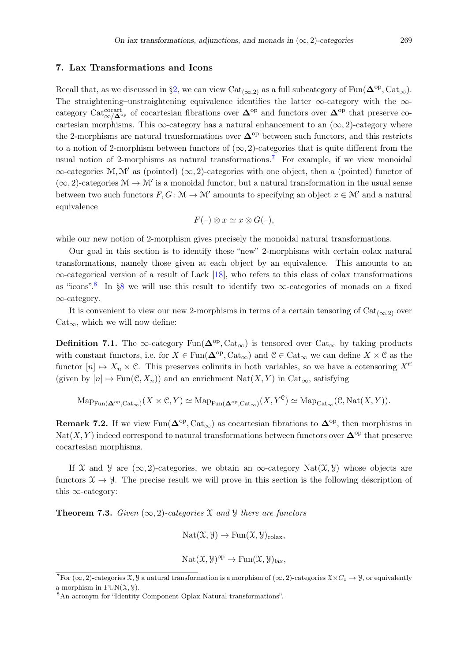## <span id="page-25-0"></span>7. Lax Transformations and Icons

Recall that, as we discussed in [§2,](#page-2-0) we can view  $Cat_{(\infty,2)}$  as a full subcategory of Fun( $\mathbf{\Delta}^{\mathrm{op}}, \mathrm{Cat}_{\infty}$ ). The straightening–unstraightening equivalence identifies the latter ∞-category with the ∞ category Cat<sup>cocart</sup><sub>∞</sub>/∆<sup>op</sup> of cocartesian fibrations over  $\Delta^{op}$  and functors over  $\Delta^{op}$  that preserve cocartesian morphisms. This  $\infty$ -category has a natural enhancement to an  $(\infty, 2)$ -category where the 2-morphisms are natural transformations over  $\mathbf{\Delta}^{\mathrm{op}}$  between such functors, and this restricts to a notion of 2-morphism between functors of  $(\infty, 2)$ -categories that is quite different from the usual notion of 2-morphisms as natural transformations.<sup>[7](#page-25-1)</sup> For example, if we view monoidal  $\infty$ -categories M, M' as (pointed)  $(\infty, 2)$ -categories with one object, then a (pointed) functor of  $(\infty, 2)$ -categories  $\mathcal{M} \to \mathcal{M}'$  is a monoidal functor, but a natural transformation in the usual sense between two such functors  $F, G: \mathcal{M} \to \mathcal{M}'$  amounts to specifying an object  $x \in \mathcal{M}'$  and a natural equivalence

$$
F(-) \otimes x \simeq x \otimes G(-),
$$

while our new notion of 2-morphism gives precisely the monoidal natural transformations.

Our goal in this section is to identify these "new" 2-morphisms with certain colax natural transformations, namely those given at each object by an equivalence. This amounts to an ∞-categorical version of a result of Lack [\[18\]](#page-36-1), who refers to this class of colax transformations as "icons".<sup>[8](#page-25-2)</sup> In [§8](#page-32-0) we will use this result to identify two  $\infty$ -categories of monads on a fixed ∞-category.

It is convenient to view our new 2-morphisms in terms of a certain tensoring of  $Cat_{(\infty,2)}$  over  $Cat_{\infty}$ , which we will now define:

**Definition 7.1.** The  $\infty$ -category Fun( $\Delta^{op}$ , Cat<sub> $\infty$ </sub>) is tensored over Cat<sub> $\infty$ </sub> by taking products with constant functors, i.e. for  $X \in \text{Fun}(\mathbf{\Delta}^{\text{op}}, \text{Cat}_{\infty})$  and  $\mathcal{C} \in \text{Cat}_{\infty}$  we can define  $X \times \mathcal{C}$  as the functor  $[n] \mapsto X_n \times \mathcal{C}$ . This preserves colimits in both variables, so we have a cotensoring  $X^{\mathcal{C}}$ (given by  $[n] \mapsto \text{Fun}(\mathcal{C}, X_n)$ ) and an enrichment  $\text{Nat}(X, Y)$  in  $\text{Cat}_{\infty}$ , satisfying

$$
\mathrm{Map}_{\mathrm{Fun}(\mathbf{\Delta}^{\mathrm{op}}, \mathrm{Cat}_{\infty})}(X \times \mathcal{C}, Y) \simeq \mathrm{Map}_{\mathrm{Fun}(\mathbf{\Delta}^{\mathrm{op}}, \mathrm{Cat}_{\infty})}(X, Y^{\mathcal{C}}) \simeq \mathrm{Map}_{\mathrm{Cat}_{\infty}}(\mathcal{C}, \mathrm{Nat}(X, Y)).
$$

<span id="page-25-4"></span>**Remark 7.2.** If we view  $\text{Fun}(\mathbf{\Delta}^{\text{op}}, \text{Cat}_{\infty})$  as cocartesian fibrations to  $\mathbf{\Delta}^{\text{op}},$  then morphisms in Nat(X, Y) indeed correspond to natural transformations between functors over  $\mathbf{\Delta}^{\mathrm{op}}$  that preserve cocartesian morphisms.

If X and Y are  $(\infty, 2)$ -categories, we obtain an  $\infty$ -category Nat $(\mathfrak{X}, \mathfrak{Y})$  whose objects are functors  $X \to Y$ . The precise result we will prove in this section is the following description of this ∞-category:

<span id="page-25-3"></span>**Theorem 7.3.** Given  $(\infty, 2)$ -categories X and Y there are functors

$$
Nat(\mathfrak{X}, \mathcal{Y}) \to Fun(\mathfrak{X}, \mathcal{Y})_{\text{colax}},
$$

$$
Nat(\mathfrak{X}, \mathcal{Y})^{op} \to Fun(\mathfrak{X}, \mathcal{Y})_{\text{tax}},
$$

<span id="page-25-1"></span><sup>&</sup>lt;sup>7</sup>For ( $\infty$ , 2)-categories X, y a natural transformation is a morphism of ( $\infty$ , 2)-categories  $\mathfrak{X} \times C_1 \to \mathfrak{Y}$ , or equivalently a morphism in  $FUN(\mathfrak{X}, \mathfrak{Y}).$ 

<span id="page-25-2"></span><sup>8</sup>An acronym for "Identity Component Oplax Natural transformations".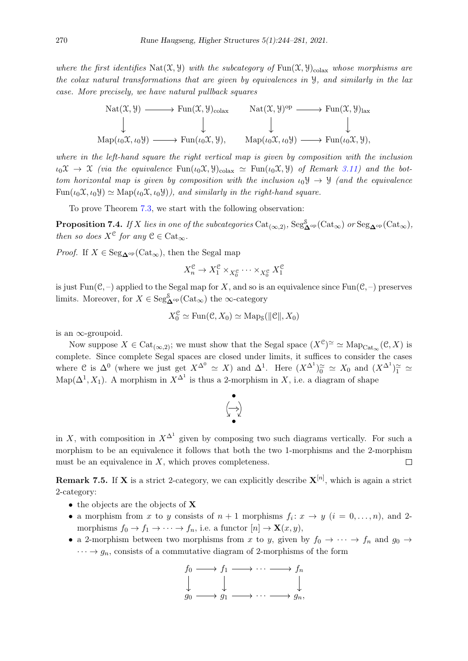where the first identifies Nat $(\mathfrak{X}, \mathfrak{Y})$  with the subcategory of Fun $(\mathfrak{X}, \mathfrak{Y})_{\text{colax}}$  whose morphisms are the colax natural transformations that are given by equivalences in Y, and similarly in the lax case. More precisely, we have natural pullback squares



where in the left-hand square the right vertical map is given by composition with the inclusion  $\iota_0\mathfrak{X} \to \mathfrak{X}$  (via the equivalence  $\text{Fun}(\iota_0\mathfrak{X},\mathcal{Y})_{\text{colax}} \simeq \text{Fun}(\iota_0\mathfrak{X},\mathcal{Y})$  of Remark [3.11\)](#page-9-0) and the bottom horizontal map is given by composition with the inclusion  $\iota_0 \mathcal{Y} \to \mathcal{Y}$  (and the equivalence  $\text{Fun}(\iota_0 \mathfrak{X}, \iota_0 \mathfrak{Y}) \simeq \text{Map}(\iota_0 \mathfrak{X}, \iota_0 \mathfrak{Y})$ , and similarly in the right-hand square.

To prove Theorem [7.3,](#page-25-3) we start with the following observation:

**Proposition 7.4.** If X lies in one of the subcategories  $\text{Cat}_{(\infty,2)}$ ,  $\text{Seg}_{\mathbf{\Delta}^{\rm op}}^{\mathcal{S}}(\text{Cat}_{\infty})$  or  $\text{Seg}_{\mathbf{\Delta}^{\rm op}}(\text{Cat}_{\infty})$ , then so does  $X^{\mathfrak{C}}$  for any  $\mathfrak{C} \in \mathrm{Cat}_{\infty}$ .

*Proof.* If  $X \in \text{Seg}_{\mathbf{\Delta}^{\text{op}}}(\text{Cat}_{\infty})$ , then the Segal map

$$
X_n^{\mathcal C}\to X_1^{\mathcal C}\times_{X_0^{\mathcal C}}\cdots\times_{X_0^{\mathcal C}}X_1^{\mathcal C}
$$

is just  $Fun(\mathcal{C},-)$  applied to the Segal map for X, and so is an equivalence since  $Fun(\mathcal{C},-)$  preserves limits. Moreover, for  $X \in \text{Seg}^{\mathcal{S}}_{\mathbf{\Delta}^{\text{op}}}(\text{Cat}_{\infty})$  the  $\infty$ -category

$$
X_0^{\mathcal{C}} \simeq \text{Fun}(\mathcal{C}, X_0) \simeq \text{Map}_{\mathcal{S}}(\|\mathcal{C}\|, X_0)
$$

is an ∞-groupoid.

Now suppose  $X \in \mathrm{Cat}_{(\infty,2)}$ ; we must show that the Segal space  $(X^c)^\simeq \simeq \mathrm{Map}_{\mathrm{Cat}_{\infty}}(\mathcal{C}, X)$  is complete. Since complete Segal spaces are closed under limits, it suffices to consider the cases where C is  $\Delta^0$  (where we just get  $X^{\Delta^0} \simeq X$ ) and  $\Delta^1$ . Here  $(X^{\Delta^1})_0^{\simeq} \simeq X_0$  and  $(X^{\Delta^1})_1^{\simeq} \simeq X_0$ Map( $\Delta^1$ , X<sub>1</sub>). A morphism in  $X^{\Delta^1}$  is thus a 2-morphism in X, i.e. a diagram of shape



in X, with composition in  $X^{\Delta^1}$  given by composing two such diagrams vertically. For such a morphism to be an equivalence it follows that both the two 1-morphisms and the 2-morphism must be an equivalence in  $X$ , which proves completeness.  $\Box$ 

<span id="page-26-0"></span>**Remark 7.5.** If **X** is a strict 2-category, we can explicitly describe  $X^{[n]}$ , which is again a strict 2-category:

- the objects are the objects of **X**
- a morphism from x to y consists of  $n+1$  morphisms  $f_i: x \to y$   $(i = 0, \ldots, n)$ , and 2morphisms  $f_0 \to f_1 \to \cdots \to f_n$ , i.e. a functor  $[n] \to \mathbf{X}(x, y)$ ,
- a 2-morphism between two morphisms from x to y, given by  $f_0 \to \cdots \to f_n$  and  $g_0 \to$  $\cdots \rightarrow g_n$ , consists of a commutative diagram of 2-morphisms of the form

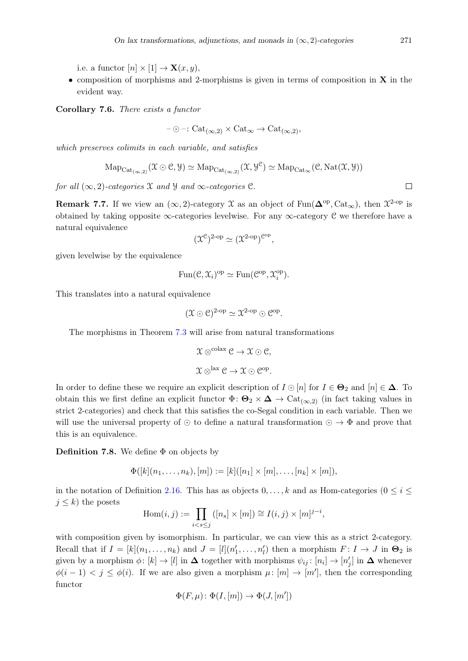i.e. a functor  $[n] \times [1] \rightarrow \mathbf{X}(x, y)$ ,

• composition of morphisms and 2-morphisms is given in terms of composition in  $X$  in the evident way.

Corollary 7.6. There exists a functor

$$
-\odot-: \mathrm{Cat}_{(\infty,2)} \times \mathrm{Cat}_{\infty} \to \mathrm{Cat}_{(\infty,2)},
$$

which preserves colimits in each variable, and satisfies

$$
\mathrm{Map}_{\mathrm{Cat}_{(\infty,2)}}(\mathfrak{X}\odot \mathfrak{C},\mathcal{Y})\simeq \mathrm{Map}_{\mathrm{Cat}_{(\infty,2)}}(\mathfrak{X},\mathcal{Y}^{\mathfrak{C}})\simeq \mathrm{Map}_{\mathrm{Cat}_{\infty}}(\mathfrak{C},\mathrm{Nat}(\mathfrak{X},\mathcal{Y}))
$$

for all  $(\infty, 2)$ -categories X and Y and  $\infty$ -categories C.

<span id="page-27-1"></span>**Remark 7.7.** If we view an  $(\infty, 2)$ -category X as an object of Fun( $\Delta^{op}$ , Cat<sub> $\infty$ </sub>), then  $\mathcal{X}^{2-op}$  is obtained by taking opposite  $\infty$ -categories levelwise. For any  $\infty$ -category C we therefore have a natural equivalence

$$
(\mathfrak{X}^{\mathcal{C}})^{2\text{-op}} \simeq (\mathfrak{X}^{2\text{-op}})^{\mathcal{C}^{\text{op}}},
$$

given levelwise by the equivalence

$$
\operatorname{Fun}(\mathcal{C}, \mathfrak{X}_i)^{\mathrm{op}} \simeq \operatorname{Fun}(\mathcal{C}^{\mathrm{op}}, \mathfrak{X}_i^{\mathrm{op}}).
$$

This translates into a natural equivalence

$$
(\mathfrak{X} \odot \mathfrak{C})^{2\text{-op}} \simeq \mathfrak{X}^{2\text{-op}} \odot \mathfrak{C}^{\text{op}}.
$$

The morphisms in Theorem [7.3](#page-25-3) will arise from natural transformations

$$
\mathfrak{X} \otimes^{\text{colax}} \mathcal{C} \to \mathfrak{X} \odot \mathcal{C},
$$
  

$$
\mathfrak{X} \otimes^{\text{lax}} \mathcal{C} \to \mathfrak{X} \odot \mathcal{C}^{\text{op}}.
$$

In order to define these we require an explicit description of  $I \odot [n]$  for  $I \in \mathbf{\Theta}_2$  and  $[n] \in \mathbf{\Delta}$ . To obtain this we first define an explicit functor  $\Phi: \Theta_2 \times \Delta \to \text{Cat}_{(\infty,2)}$  (in fact taking values in strict 2-categories) and check that this satisfies the co-Segal condition in each variable. Then we will use the universal property of ⊙ to define a natural transformation  $\odot \rightarrow \Phi$  and prove that this is an equivalence.

<span id="page-27-0"></span>**Definition 7.8.** We define  $\Phi$  on objects by

$$
\Phi([k](n_1,\ldots,n_k),[m]):=[k]([n_1]\times[m],\ldots,[n_k]\times[m]),
$$

in the notation of Definition [2.16.](#page-5-0) This has as objects  $0, \ldots, k$  and as Hom-categories  $(0 \le i \le j)$  $j \leq k$ ) the posets

$$
\operatorname{Hom}(i,j) := \prod_{i < s \leq j} ([n_s] \times [m]) \cong I(i,j) \times [m]^{j-i},
$$

with composition given by isomorphism. In particular, we can view this as a strict 2-category. Recall that if  $I = [k](n_1, \ldots, n_k)$  and  $J = [l](n'_1, \ldots, n'_l)$  then a morphism  $F: I \to J$  in  $\Theta_2$  is given by a morphism  $\phi: [k] \to [l]$  in  $\Delta$  together with morphisms  $\psi_{ij}: [n_i] \to [n'_j]$  in  $\Delta$  whenever  $\phi(i-1) < j \leq \phi(i)$ . If we are also given a morphism  $\mu: [m] \to [m']$ , then the corresponding functor

$$
\Phi(F,\mu)\colon \Phi(I,[m])\to \Phi(J,[m'])
$$

 $\Box$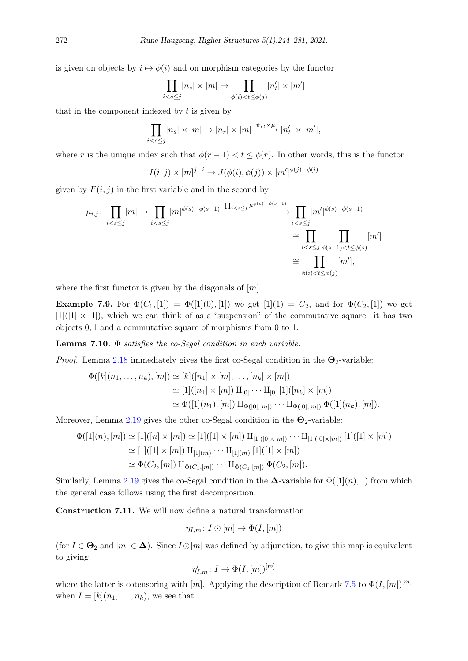is given on objects by  $i \mapsto \phi(i)$  and on morphism categories by the functor

$$
\prod_{i
$$

that in the component indexed by  $t$  is given by

$$
\prod_{i < s \le j} [n_s] \times [m] \to [n_r] \times [m] \xrightarrow{\psi_{rt} \times \mu} [n'_t] \times [m'],
$$

where r is the unique index such that  $\phi(r-1) < t \leq \phi(r)$ . In other words, this is the functor

$$
I(i,j) \times [m]^{j-i} \to J(\phi(i), \phi(j)) \times [m']^{\phi(j) - \phi(i)}
$$

given by  $F(i, j)$  in the first variable and in the second by

$$
\mu_{i,j} \colon \prod_{i < s \le j} [m] \to \prod_{i < s \le j} [m]^{\phi(s) - \phi(s-1)} \xrightarrow{\prod_{i < s \le j} \mu^{\phi(s) - \phi(s-1)}} \prod_{i < s \le j} [m']^{\phi(s) - \phi(s-1)} \cong \prod_{i < s \le j} \prod_{\phi(s) - 1 < t \le \phi(s)} [m'] \cong \prod_{\phi(i) < t \le \phi(j)} [m'],
$$

where the first functor is given by the diagonals of  $[m]$ .

**Example 7.9.** For  $\Phi(C_1, [1]) = \Phi([1](0), [1])$  we get  $[1](1) = C_2$ , and for  $\Phi(C_2, [1])$  we get  $[1]([1] \times [1])$ , which we can think of as a "suspension" of the commutative square: it has two objects 0, 1 and a commutative square of morphisms from 0 to 1.

**Lemma 7.10.**  $\Phi$  satisfies the co-Segal condition in each variable.

*Proof.* Lemma [2.18](#page-6-0) immediately gives the first co-Segal condition in the  $\Theta_2$ -variable:

$$
\Phi([k](n_1,\ldots,n_k),[m]) \simeq [k]([n_1] \times [m],\ldots,[n_k] \times [m])
$$
  
\n
$$
\simeq [1]([n_1] \times [m]) \amalg_{[0]} \cdots \amalg_{[0]} [1]([n_k] \times [m])
$$
  
\n
$$
\simeq \Phi([1](n_1),[m]) \amalg_{\Phi([0],[m])} \cdots \amalg_{\Phi([0],[m])} \Phi([1](n_k),[m]).
$$

Moreover, Lemma [2.19](#page-6-1) gives the other co-Segal condition in the  $\Theta_2$ -variable:

$$
\Phi([1](n), [m]) \simeq [1]([n] \times [m]) \simeq [1]([1] \times [m]) \amalg_{[1]([0] \times [m])} \cdots \amalg_{[1]([0] \times [m])} [1]([1] \times [m])
$$
  
\simeq [1]([1] \times [m]) \amalg\_{[1](m)} \cdots \amalg\_{[1](m)} [1]([1] \times [m])  
\simeq \Phi(C\_2, [m]) \amalg\_{\Phi(C\_1, [m])} \cdots \amalg\_{\Phi(C\_1, [m])} \Phi(C\_2, [m]).

Similarly, Lemma [2.19](#page-6-1) gives the co-Segal condition in the  $\Delta$ -variable for  $\Phi([1](n),-)$  from which the general case follows using the first decomposition.  $\Box$ 

Construction 7.11. We will now define a natural transformation

$$
\eta_{I,m}\colon I\odot [m]\to \Phi(I,[m])
$$

(for  $I \in \mathbf{\Theta}_2$  and  $[m] \in \mathbf{\Delta}$ ). Since  $I \odot [m]$  was defined by adjunction, to give this map is equivalent to giving

$$
\eta'_{I,m}\colon I\to \Phi(I,[m])^{[m]}
$$

where the latter is cotensoring with [m]. Applying the description of Remark [7.5](#page-26-0) to  $\Phi(I,[m])^{[m]}$ when  $I = [k](n_1, \ldots, n_k)$ , we see that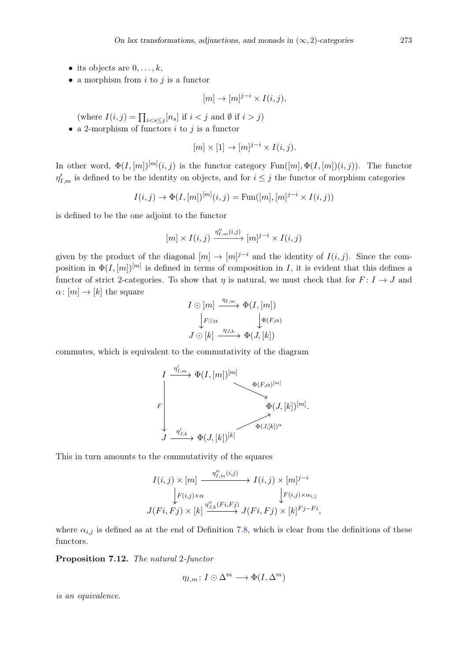- its objects are  $0, \ldots, k$ ,
- a morphism from  $i$  to  $j$  is a functor

$$
[m] \to [m]^{j-i} \times I(i,j),
$$

(where  $I(i, j) = \prod_{i < s \leq j} [n_s]$  if  $i < j$  and  $\emptyset$  if  $i > j$ )

• a 2-morphism of functors  $i$  to  $j$  is a functor

$$
[m] \times [1] \to [m]^{j-i} \times I(i,j).
$$

In other word,  $\Phi(I,[m])^{[m]}(i,j)$  is the functor category  $\text{Fun}([m], \Phi(I,[m])(i,j))$ . The functor  $\eta'_{I,m}$  is defined to be the identity on objects, and for  $i \leq j$  the functor of morphism categories

$$
I(i, j) \to \Phi(I, [m])^{[m]}(i, j) = \text{Fun}([m], [m]^{j-i} \times I(i, j))
$$

is defined to be the one adjoint to the functor

$$
[m] \times I(i,j) \xrightarrow{\eta''_{I,m}(i,j)} [m]^{j-i} \times I(i,j)
$$

given by the product of the diagonal  $[m] \to [m]^{j-i}$  and the identity of  $I(i, j)$ . Since the composition in  $\Phi(I,[m])^{[m]}$  is defined in terms of composition in I, it is evident that this defines a functor of strict 2-categories. To show that  $\eta$  is natural, we must check that for  $F: I \to J$  and  $\alpha: [m] \to [k]$  the square

$$
I \odot [m] \xrightarrow{\eta_{I,m}} \Phi(I, [m])
$$

$$
\downarrow F \odot \alpha \qquad \qquad \downarrow \Phi(F, \alpha)
$$

$$
J \odot [k] \xrightarrow{\eta_{J,k}} \Phi(J, [k])
$$

commutes, which is equivalent to the commutativity of the diagram

$$
\begin{CD} I & \xrightarrow{\eta'_{I,m}} \Phi(I,[m])^{[m]} & \xrightarrow{\Phi(F,\alpha)^{[m]}} \\ \downarrow^{F} & \xrightarrow{\Phi(J,[k])^{[m]}} \Phi(J,[k])^{[m]} . \\ J & \xrightarrow{\eta'_{J,k}} \Phi(J,[k])^{[k]} & \xrightarrow{\Phi(J,[k])^{\alpha}} \Phi(J,[k])^{[m]} .\end{CD}
$$

This in turn amounts to the commutativity of the squares

$$
I(i,j) \times [m] \xrightarrow{\eta''_{I,m}(i,j)} I(i,j) \times [m]^{j-i}
$$
  
\n
$$
\downarrow F(i,j) \times \alpha \qquad \qquad \downarrow F(i,j) \times \alpha_{i,j}
$$
  
\n
$$
J(Fi, Fj) \times [k] \xrightarrow{\eta''_{J,k}(Fi, Fj)} J(Fi, Fj) \times [k]^{Fj-Fi},
$$

where  $\alpha_{i,j}$  is defined as at the end of Definition [7.8,](#page-27-0) which is clear from the definitions of these functors.

<span id="page-29-0"></span>Proposition 7.12. The natural 2-functor

$$
\eta_{I,m}\colon I\odot\Delta^m\longrightarrow\Phi(I,\Delta^m)
$$

is an equivalence.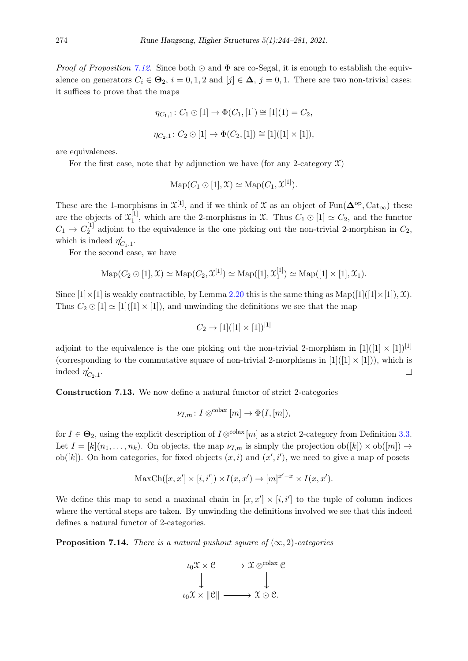*Proof of Proposition [7.12.](#page-29-0)* Since both  $\odot$  and  $\Phi$  are co-Segal, it is enough to establish the equivalence on generators  $C_i \in \mathbf{\Theta}_2$ ,  $i = 0, 1, 2$  and  $[j] \in \mathbf{\Delta}$ ,  $j = 0, 1$ . There are two non-trivial cases: it suffices to prove that the maps

$$
\eta_{C_1,1} \colon C_1 \odot [1] \to \Phi(C_1, [1]) \cong [1](1) = C_2,
$$
  

$$
\eta_{C_2,1} \colon C_2 \odot [1] \to \Phi(C_2, [1]) \cong [1]([1] \times [1]),
$$

are equivalences.

For the first case, note that by adjunction we have (for any 2-category  $\mathfrak{X}$ )

$$
\mathrm{Map}(C_1 \odot [1], \mathfrak{X}) \simeq \mathrm{Map}(C_1, \mathfrak{X}^{[1]}).
$$

These are the 1-morphisms in  $\mathfrak{X}^{[1]}$ , and if we think of X as an object of Fun( $\mathbf{\Delta}^{\rm op}, \text{Cat}_{\infty}$ ) these are the objects of  $\mathfrak{X}_1^{[1]}$  $1<sup>[1]</sup>$ , which are the 2-morphisms in X. Thus  $C_1 \odot [1] \simeq C_2$ , and the functor  $C_1 \to C_2^{[1]}$  $2^{11}$  adjoint to the equivalence is the one picking out the non-trivial 2-morphism in  $C_2$ , which is indeed  $\eta'_{C_1,1}$ .

For the second case, we have

$$
\mathrm{Map}(C_2 \odot [1], \mathfrak{X}) \simeq \mathrm{Map}(C_2, \mathfrak{X}^{[1]}) \simeq \mathrm{Map}([1], \mathfrak{X}_1^{[1]}) \simeq \mathrm{Map}([1] \times [1], \mathfrak{X}_1).
$$

Since  $[1] \times [1]$  is weakly contractible, by Lemma [2.20](#page-6-2) this is the same thing as  $\text{Map}([1]([1] \times [1]), \mathfrak{X})$ . Thus  $C_2 \odot [1] \simeq [1]([1] \times [1])$ , and unwinding the definitions we see that the map

$$
C_2 \to [1]([1] \times [1])^{[1]}
$$

adjoint to the equivalence is the one picking out the non-trivial 2-morphism in  $[1]([1] \times [1])^{[1]}$ (corresponding to the commutative square of non-trivial 2-morphisms in  $[1]([1] \times [1])$ ), which is indeed  $\eta_{C_2,1}'$ .  $\Box$ 

Construction 7.13. We now define a natural functor of strict 2-categories

$$
\nu_{I,m}\colon I\otimes^{\text{colax}}[m]\to \Phi(I,[m]),
$$

for  $I \in \mathbf{\Theta}_2$ , using the explicit description of  $I \otimes^{\text{colax}} [m]$  as a strict 2-category from Definition [3.3.](#page-7-2) Let  $I = [k](n_1, \ldots, n_k)$ . On objects, the map  $\nu_{I,m}$  is simply the projection  $ob([k]) \times ob([m]) \rightarrow$ ob([k]). On hom categories, for fixed objects  $(x, i)$  and  $(x', i')$ , we need to give a map of posets

$$
MaxCh([x, x'] \times [i, i']) \times I(x, x') \to [m]^{x'-x} \times I(x, x').
$$

We define this map to send a maximal chain in  $[x, x'] \times [i, i']$  to the tuple of column indices where the vertical steps are taken. By unwinding the definitions involved we see that this indeed defines a natural functor of 2-categories.

<span id="page-30-0"></span>**Proposition 7.14.** There is a natural pushout square of  $(\infty, 2)$ -categories

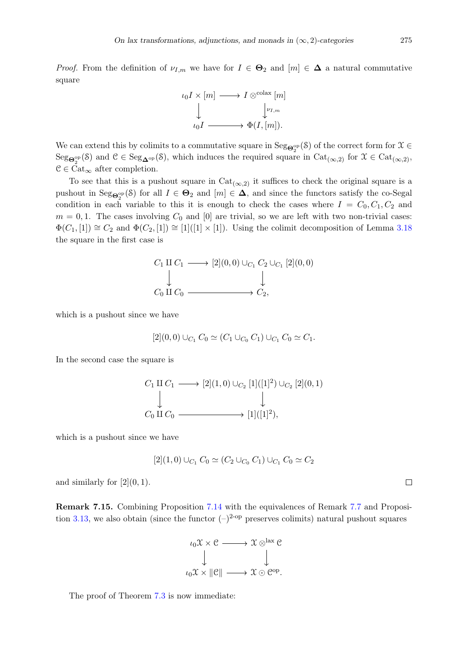*Proof.* From the definition of  $\nu_{I,m}$  we have for  $I \in \mathbf{\Theta}_2$  and  $[m] \in \mathbf{\Delta}$  a natural commutative square



We can extend this by colimits to a commutative square in  $\text{Seg}_{\mathbf{\Theta}^{op}_2}(\mathcal{S})$  of the correct form for  $\mathcal{X} \in$  $Seg_{\mathbf{\Theta}^{op}_{2}}(\mathcal{S})$  and  $\mathcal{C} \in Seg_{\mathbf{\Delta}^{op}}(\mathcal{S})$ , which induces the required square in  $Cat_{(\infty,2)}$  for  $\mathcal{X} \in Cat_{(\infty,2)}$ ,  $C \in \text{Cat}_{\infty}$  after completion.

To see that this is a pushout square in  $Cat_{(\infty,2)}$  it suffices to check the original square is a pushout in  $\text{Seg}_{\mathbf{\Theta}_2^{\text{op}}}(\mathcal{S})$  for all  $I \in \mathbf{\Theta}_2$  and  $[m] \in \mathbf{\Delta}$ , and since the functors satisfy the co-Segal condition in each variable to this it is enough to check the cases where  $I = C_0, C_1, C_2$  and  $m = 0, 1$ . The cases involving  $C_0$  and [0] are trivial, so we are left with two non-trivial cases:  $\Phi(C_1, [1]) \cong C_2$  and  $\Phi(C_2, [1]) \cong [1]([1] \times [1])$ . Using the colimit decomposition of Lemma [3.18](#page-12-2) the square in the first case is

$$
C_1 \amalg C_1 \longrightarrow [2](0,0) \cup_{C_1} C_2 \cup_{C_1} [2](0,0)
$$
  
\n
$$
\downarrow \qquad \qquad \downarrow
$$
  
\n
$$
C_0 \amalg C_0 \longrightarrow C_2,
$$

which is a pushout since we have

$$
[2](0,0) \cup_{C_1} C_0 \simeq (C_1 \cup_{C_0} C_1) \cup_{C_1} C_0 \simeq C_1.
$$

In the second case the square is

$$
C_1 \amalg C_1 \longrightarrow [2](1,0) \cup_{C_2} [1]([1]^2) \cup_{C_2} [2](0,1)
$$
  
\n
$$
\downarrow \qquad \qquad \downarrow
$$
  
\n
$$
C_0 \amalg C_0 \longrightarrow [1]([1]^2),
$$

which is a pushout since we have

$$
[2](1,0) \cup_{C_1} C_0 \simeq (C_2 \cup_{C_0} C_1) \cup_{C_1} C_0 \simeq C_2
$$

and similarly for  $[2](0,1)$ .

<span id="page-31-0"></span>Remark 7.15. Combining Proposition [7.14](#page-30-0) with the equivalences of Remark [7.7](#page-27-1) and Proposi-tion [3.13,](#page-10-3) we also obtain (since the functor  $(-)^{2-\text{op}}$  preserves colimits) natural pushout squares



The proof of Theorem [7.3](#page-25-3) is now immediate:

 $\Box$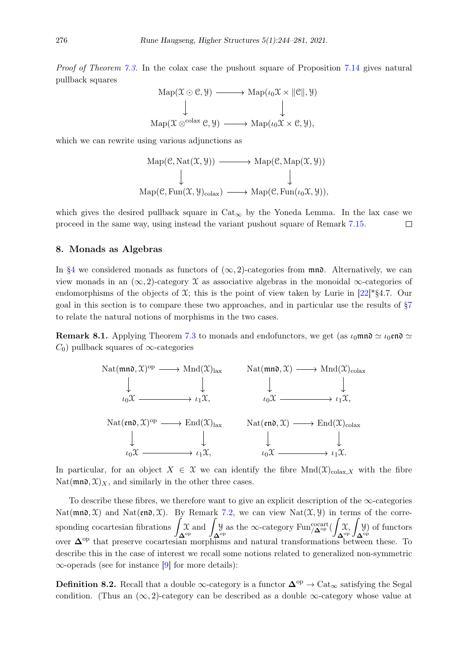*Proof of Theorem [7.3.](#page-25-3)* In the colax case the pushout square of Proposition [7.14](#page-30-0) gives natural pullback squares

$$
Map(\mathcal{X} \odot \mathcal{C}, \mathcal{Y}) \longrightarrow Map(\iota_0 \mathcal{X} \times ||\mathcal{C}||, \mathcal{Y})
$$
  
\n
$$
\downarrow \qquad \qquad \downarrow
$$
  
\n
$$
Map(\mathcal{X} \otimes^{colax} \mathcal{C}, \mathcal{Y}) \longrightarrow Map(\iota_0 \mathcal{X} \times \mathcal{C}, \mathcal{Y}),
$$

which we can rewrite using various adjunctions as

Map(
$$
\mathcal{C}
$$
, Nat( $\mathcal{X}, \mathcal{Y}$ ))  $\longrightarrow$  Map( $\mathcal{C}$ , Map( $\mathcal{X}, \mathcal{Y}$ ))  
\n $\downarrow$   
\nMap( $\mathcal{C}$ , Fun( $\mathcal{X}, \mathcal{Y}$ )<sub>colax</sub>)  $\longrightarrow$  Map( $\mathcal{C}$ , Fun( $\iota_0 \mathcal{X}, \mathcal{Y}$ )),

which gives the desired pullback square in  $Cat_{\infty}$  by the Yoneda Lemma. In the lax case we proceed in the same way, using instead the variant pushout square of Remark [7.15.](#page-31-0)  $\Box$ 

#### <span id="page-32-0"></span>8. Monads as Algebras

In [§4](#page-12-0) we considered monads as functors of  $(\infty, 2)$ -categories from  $\mathfrak{m}\mathfrak{n}\mathfrak{d}$ . Alternatively, we can view monads in an  $(\infty, 2)$ -category X as associative algebras in the monoidal  $\infty$ -categories of endomorphisms of the objects of  $\mathfrak{X}$ ; this is the point of view taken by Lurie in [\[22\]](#page-37-0)\*§4.7. Our goal in this section is to compare these two approaches, and in particular use the results of [§7](#page-25-0) to relate the natural notions of morphisms in the two cases.

<span id="page-32-1"></span>**Remark 8.1.** Applying Theorem [7.3](#page-25-3) to monads and endofunctors, we get (as  $\iota_0$ mn $\alpha \simeq \iota_0$ en $\alpha \simeq$  $C_0$ ) pullback squares of  $\infty$ -categories



In particular, for an object  $X \in \mathcal{X}$  we can identify the fibre  $Mnd(\mathcal{X})_{\text{colax},X}$  with the fibre  $\text{Nat}(\text{mnə}, \mathcal{X})_X$ , and similarly in the other three cases.

To describe these fibres, we therefore want to give an explicit description of the  $\infty$ -categories Nat( $\mathfrak{mn}\mathfrak{d}, \mathfrak{X}$ ) and Nat( $\mathfrak{en}\mathfrak{d}, \mathfrak{X}$ ). By Remark [7.2,](#page-25-4) we can view Nat( $\mathfrak{X}, \mathfrak{Y}$ ) in terms of the corresponding cocartesian fibrations  $\mathbf{\Delta}^\mathrm{op}$  $\chi$  and  $\mathbf{\Delta}^\mathrm{op}$ y as the ∞-category  $\text{Fun}^{\text{cocart}}_{\mathbf{\Delta}^{\text{op}}}$ (  $\mathbf{\Delta}^{\mathrm{op}}$  $\mathfrak{X}, \square$  $\mathbf{\Delta}^{\mathrm{op}}$ Y) of functors over ∆op that preserve cocartesian morphisms and natural transformations between these. To describe this in the case of interest we recall some notions related to generalized non-symmetric ∞-operads (see for instance [\[9\]](#page-36-4) for more details):

Definition 8.2. Recall that a double  $\infty$ -category is a functor  $\Delta^{\text{op}} \to \text{Cat}_{\infty}$  satisfying the Segal condition. (Thus an  $(\infty, 2)$ -category can be described as a double  $\infty$ -category whose value at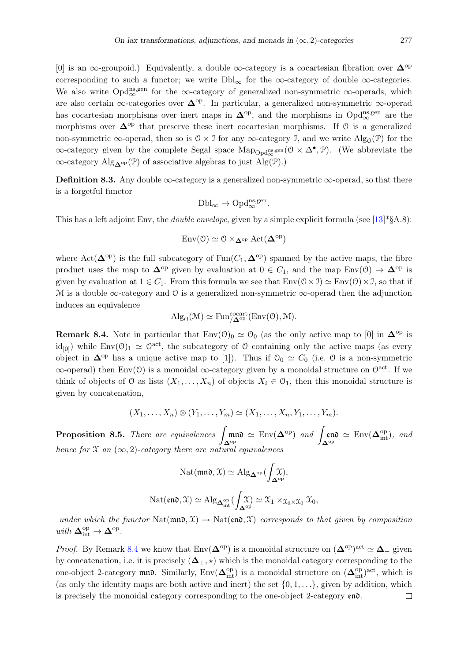[0] is an ∞-groupoid.) Equivalently, a double ∞-category is a cocartesian fibration over  $\Delta^{op}$ corresponding to such a functor; we write  $Dbl_{\infty}$  for the  $\infty$ -category of double  $\infty$ -categories. We also write Opd<sup>ns,gen</sup> for the ∞-category of generalized non-symmetric ∞-operads, which are also certain ∞-categories over  $\Delta^{\text{op}}$ . In particular, a generalized non-symmetric ∞-operad has cocartesian morphisms over inert maps in  $\Delta^{op}$ , and the morphisms in Opd<sup>ns,gen</sup> are the morphisms over  $\Delta^{op}$  that preserve these inert cocartesian morphisms. If 0 is a generalized non-symmetric  $\infty$ -operad, then so is  $0 \times \mathcal{I}$  for any  $\infty$ -category  $\mathcal{I}$ , and we write  $\text{Alg}_{\mathcal{O}}(\mathcal{P})$  for the  $\infty$ -category given by the complete Segal space  $\text{Map}_{\text{Opd}_{\infty}^{\text{ns},gen}}(\mathcal{O} \times \Delta^{\bullet}, \mathcal{P})$ . (We abbreviate the  $\infty$ -category Alg<sub>∧</sub><sup>op</sup>(P) of associative algebras to just Alg(P).)

**Definition 8.3.** Any double  $\infty$ -category is a generalized non-symmetric  $\infty$ -operad, so that there is a forgetful functor

$$
\mathrm{Dbl}_{\infty} \to \mathrm{Opd}_{\infty}^{\mathrm{ns,gen}}.
$$

This has a left adjoint Env, the *double envelope*, given by a simple explicit formula (see [\[13\]](#page-36-17)\*§A.8):

$$
\mathrm{Env}(\mathcal{O}) \simeq \mathcal{O} \times_{\mathbf{\Delta}^{\mathrm{op}}} \mathrm{Act}(\mathbf{\Delta}^{\mathrm{op}})
$$

where Act( $\Delta^{\rm op}$ ) is the full subcategory of Fun( $C_1$ ,  $\Delta^{\rm op}$ ) spanned by the active maps, the fibre product uses the map to  $\Delta^{op}$  given by evaluation at  $0 \in C_1$ , and the map Env(0)  $\rightarrow \Delta^{op}$  is given by evaluation at  $1 \in C_1$ . From this formula we see that  $Env(\mathcal{O} \times \mathcal{I}) \simeq Env(\mathcal{O}) \times \mathcal{I}$ , so that if M is a double  $\infty$ -category and O is a generalized non-symmetric  $\infty$ -operad then the adjunction induces an equivalence

$$
\mathrm{Alg}_{\mathcal{O}}(\mathcal{M}) \simeq \mathrm{Fun}^{\mathrm{cocart}}_{/\mathbf{\Delta}^{\mathrm{op}}}(\mathrm{Env}(\mathcal{O}),\mathcal{M}).
$$

<span id="page-33-0"></span>**Remark 8.4.** Note in particular that  $Env(0)_0 \simeq 0_0$  (as the only active map to [0] in  $\Delta^{op}$  is  $\mathrm{id}_{[0]}$ ) while  $\mathrm{Env}(0)_1 \simeq 0^{\mathrm{act}}$ , the subcategory of 0 containing only the active maps (as every object in  $\Delta^{op}$  has a unique active map to [1]). Thus if  $\mathcal{O}_0 \simeq C_0$  (i.e.  $\mathcal O$  is a non-symmetric  $\infty$ -operad) then Env(0) is a monoidal  $\infty$ -category given by a monoidal structure on  $\mathbb{O}^{\text{act}}$ . If we think of objects of  $\mathcal O$  as lists  $(X_1, \ldots, X_n)$  of objects  $X_i \in \mathcal O_1$ , then this monoidal structure is given by concatenation,

$$
(X_1,\ldots,X_n)\otimes (Y_1,\ldots,Y_m)\simeq (X_1,\ldots,X_n,Y_1,\ldots,Y_m).
$$

<span id="page-33-1"></span>**Proposition 8.5.** There are equivalences  $\mathbf{\Delta}^\mathrm{op}$  $\mathfrak{m}\mathfrak{n}\mathfrak{d} \simeq \mathrm{Env}(\mathbf{\Delta}^{\mathrm{op}})$  and  $\mathbf{\Delta}^\mathrm{op}$ en $\mathfrak{d} \simeq \mathrm{Env}(\mathbf{\Delta}_{\mathrm{int}}^{\mathrm{op}})$ , and hence for  $\mathfrak X$  an  $(\infty, 2)$ -category there are natural equivalences

$$
\mathrm{Nat}(\mathfrak{mno},\mathfrak{X})\simeq \mathrm{Alg}_{\mathbf{\Delta}^{\mathrm{op}}}(\int_{\mathbf{\Delta}^{\mathrm{op}}} \!\!\!\!\!\!\! \mathfrak{X}),
$$

$$
\mathrm{Nat}(\mathfrak{end}, \mathfrak{X}) \simeq \mathrm{Alg}_{\mathbf{\Delta}^{\mathrm{op}}_{\mathrm{int}}}(\int_{\mathbf{\Delta}^{\mathrm{op}}} \mathfrak{X}) \simeq \mathfrak{X}_1 \times_{\mathfrak{X}_0 \times \mathfrak{X}_0} \mathfrak{X}_0,
$$

under which the functor Nat( $\mathfrak{mn} \in \mathfrak{X}$ )  $\rightarrow$  Nat( $\mathfrak{en} \in \mathfrak{X}$ ) corresponds to that given by composition with  $\mathbf{\Delta}_{\text{int}}^{\text{op}} \to \mathbf{\Delta}^{\text{op}}$ .

*Proof.* By Remark [8.4](#page-33-0) we know that  $Env(\mathbf{\Delta}^{\text{op}})$  is a monoidal structure on  $({\mathbf{\Delta}}^{\text{op}})^{\text{act}} \simeq \mathbf{\Delta}_+$  given by concatenation, i.e. it is precisely  $(\Delta_+, \star)$  which is the monoidal category corresponding to the one-object 2-category mno. Similarly,  $Env(\Delta_{int}^{op})$  is a monoidal structure on  $(\Delta_{int}^{op})^{act}$ , which is (as only the identity maps are both active and inert) the set  $\{0, 1, \ldots\}$ , given by addition, which is precisely the monoidal category corresponding to the one-object 2-category end. $\Box$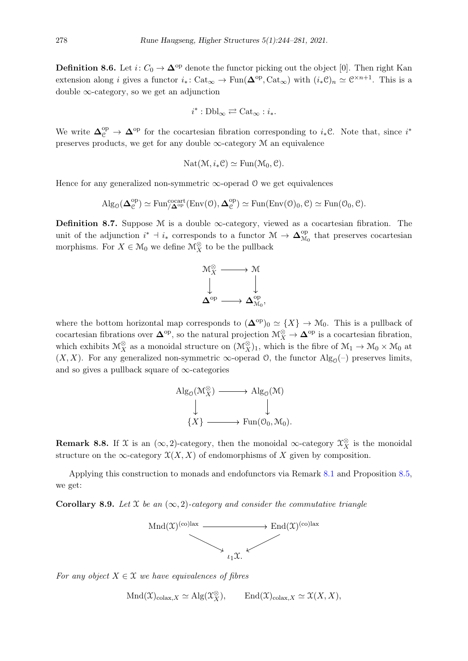**Definition 8.6.** Let  $i: C_0 \to \mathbf{\Delta}^{\text{op}}$  denote the functor picking out the object [0]. Then right Kan extension along *i* gives a functor  $i_* \colon \text{Cat}_{\infty} \to \text{Fun}(\mathbf{\Delta}^{\text{op}}, \text{Cat}_{\infty})$  with  $(i_* \mathcal{C})_n \simeq \mathcal{C}^{\times n+1}$ . This is a double  $\infty$ -category, so we get an adjunction

$$
i^*:\mathrm{Dbl}_{\infty}\rightleftarrows\mathrm{Cat}_{\infty}:i_*.
$$

We write  $\Delta_{\mathcal{C}}^{\text{op}} \to \Delta^{\text{op}}$  for the cocartesian fibration corresponding to  $i_*\mathcal{C}$ . Note that, since  $i^*$ preserves products, we get for any double  $\infty$ -category M an equivalence

$$
Nat(\mathcal{M}, i_*\mathcal{C}) \simeq Fun(\mathcal{M}_0, \mathcal{C}).
$$

Hence for any generalized non-symmetric  $\infty$ -operad  $\theta$  we get equivalences

$$
Alg_{\mathcal{O}}(\mathbf{\Delta}_{\mathcal{C}}^{\mathrm{op}}) \simeq \mathrm{Fun}_{/\mathbf{\Delta}^{\mathrm{op}}}^{\mathrm{cocart}}(\mathrm{Env}(\mathcal{O}), \mathbf{\Delta}_{\mathcal{C}}^{\mathrm{op}}) \simeq \mathrm{Fun}(\mathrm{Env}(\mathcal{O})_0, \mathcal{C}) \simeq \mathrm{Fun}(\mathcal{O}_0, \mathcal{C}).
$$

**Definition 8.7.** Suppose M is a double  $\infty$ -category, viewed as a cocartesian fibration. The unit of the adjunction  $i^* \dashv i_*$  corresponds to a functor  $\mathcal{M} \to \mathbf{\Delta}_{\mathcal{M}}^{\text{op}}$  $_{\mathcal{M}_0}^{\text{op}}$  that preserves cocartesian morphisms. For  $X \in \mathcal{M}_0$  we define  $\mathcal{M}_X^{\otimes}$  to be the pullback



where the bottom horizontal map corresponds to  $({\bf{\Delta}}^{\rm op})_0 \simeq \{X\} \to \mathcal{M}_0$ . This is a pullback of cocartesian fibrations over  $\mathbf{\Delta}^{\text{op}}$ , so the natural projection  $\mathcal{M}_X^{\otimes} \to \mathbf{\Delta}^{\text{op}}$  is a cocartesian fibration, which exhibits  $\mathcal{M}_X^{\otimes}$  as a monoidal structure on  $(\mathcal{M}_X^{\otimes})_1$ , which is the fibre of  $\mathcal{M}_1 \to \mathcal{M}_0 \times \mathcal{M}_0$  at  $(X, X)$ . For any generalized non-symmetric  $\infty$ -operad  $\mathcal{O}$ , the functor  $\mathrm{Alg}_{\mathcal{O}}(-)$  preserves limits, and so gives a pullback square of  $\infty$ -categories



**Remark 8.8.** If X is an  $(\infty, 2)$ -category, then the monoidal  $\infty$ -category  $\mathcal{X}_X^{\otimes}$  is the monoidal structure on the  $\infty$ -category  $\mathfrak{X}(X,X)$  of endomorphisms of X given by composition.

Applying this construction to monads and endofunctors via Remark [8.1](#page-32-1) and Proposition [8.5,](#page-33-1) we get:

Corollary 8.9. Let  $\mathfrak X$  be an  $(\infty, 2)$ -category and consider the commutative triangle



For any object  $X \in \mathcal{X}$  we have equivalences of fibres

 $\text{Mnd}(\mathfrak{X})_{\text{colax},X} \simeq \text{Alg}(\mathfrak{X}_X^{\otimes}), \qquad \text{End}(\mathfrak{X})_{\text{colax},X} \simeq \mathfrak{X}(X,X),$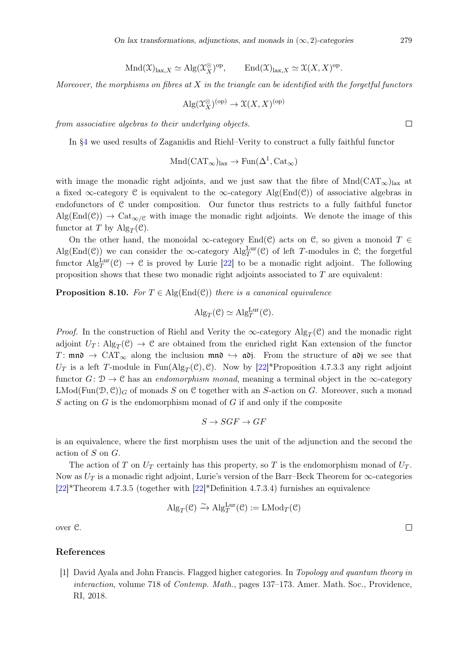$$
\text{Mnd}(\mathfrak{X})_{\text{lax},X} \simeq \text{Alg}(\mathfrak{X}_X^{\otimes})^{\text{op}}, \qquad \text{End}(\mathfrak{X})_{\text{lax},X} \simeq \mathfrak{X}(X,X)^{\text{op}}.
$$

Moreover, the morphisms on fibres at  $X$  in the triangle can be identified with the forgetful functors

$$
\mathrm{Alg}(\mathfrak{X}_X^{\otimes})^{(\mathrm{op})} \to \mathfrak{X}(X,X)^{(\mathrm{op})}
$$

from associative algebras to their underlying objects.

In [§4](#page-12-0) we used results of Zaganidis and Riehl–Verity to construct a fully faithful functor

$$
Mnd(CAT_{\infty})_{\text{lax}} \to \text{Fun}(\Delta^1, \text{Cat}_{\infty})
$$

with image the monadic right adjoints, and we just saw that the fibre of  $Mnd(CAT_\infty)_{\text{lax}}$  at a fixed ∞-category  $\mathcal C$  is equivalent to the  $\infty$ -category Alg(End( $\mathcal C$ )) of associative algebras in endofunctors of C under composition. Our functor thus restricts to a fully faithful functor  $\text{Alg}(\text{End}(\mathcal{C})) \to \text{Cat}_{\infty/\mathcal{C}}$  with image the monadic right adjoints. We denote the image of this functor at T by  $\text{Alg}_T(\mathcal{C})$ .

On the other hand, the monoidal  $\infty$ -category End(C) acts on C, so given a monoid T ∈ Alg(End(C)) we can consider the  $\infty$ -category Alg<sup>Lur</sup>(C) of left T-modules in C; the forgetful functor  $\text{Alg}_T^{\text{Lur}}(\mathcal{C}) \to \mathcal{C}$  is proved by Lurie [\[22\]](#page-37-0) to be a monadic right adjoint. The following proposition shows that these two monadic right adjoints associated to  $T$  are equivalent:

**Proposition 8.10.** For  $T \in \text{Alg}(\text{End}(\mathcal{C}))$  there is a canonical equivalence

$$
Alg_T(\mathcal{C}) \simeq Alg_T^{\text{Lur}}(\mathcal{C}).
$$

*Proof.* In the construction of Riehl and Verity the  $\infty$ -category  $\text{Alg}_T(\mathcal{C})$  and the monadic right adjoint  $U_T$ : Alg<sub>T</sub>(C)  $\rightarrow$  C are obtained from the enriched right Kan extension of the functor T: mnd  $\rightarrow$  CAT<sub>∞</sub> along the inclusion mnd  $\rightarrow$  adj. From the structure of adj we see that  $U_T$  is a left T-module in Fun(Alg<sub>T</sub>(C), C). Now by [\[22\]](#page-37-0)\*Proposition 4.7.3.3 any right adjoint functor  $G: \mathcal{D} \to \mathcal{C}$  has an *endomorphism monad*, meaning a terminal object in the  $\infty$ -category  $\text{LMod}(\text{Fun}(\mathcal{D}, \mathcal{C}))_G$  of monads S on C together with an S-action on G. Moreover, such a monad S acting on  $G$  is the endomorphism monad of  $G$  if and only if the composite

$$
S \to SGF \to GF
$$

is an equivalence, where the first morphism uses the unit of the adjunction and the second the action of S on G.

The action of T on  $U_T$  certainly has this property, so T is the endomorphism monad of  $U_T$ . Now as  $U_T$  is a monadic right adjoint, Lurie's version of the Barr–Beck Theorem for  $\infty$ -categories [\[22\]](#page-37-0)\*Theorem 4.7.3.5 (together with [\[22\]](#page-37-0)\*Definition 4.7.3.4) furnishes an equivalence

$$
\mathrm{Alg}_T(\mathcal{C}) \xrightarrow{\sim} \mathrm{Alg}_T^{\mathrm{Lur}}(\mathcal{C}) := \mathrm{LMod}_T(\mathcal{C})
$$

over C.

#### References

<span id="page-35-0"></span>[1] David Ayala and John Francis. Flagged higher categories. In Topology and quantum theory in interaction, volume 718 of Contemp. Math., pages 137–173. Amer. Math. Soc., Providence, RI, 2018.

 $\Box$ 

 $\Box$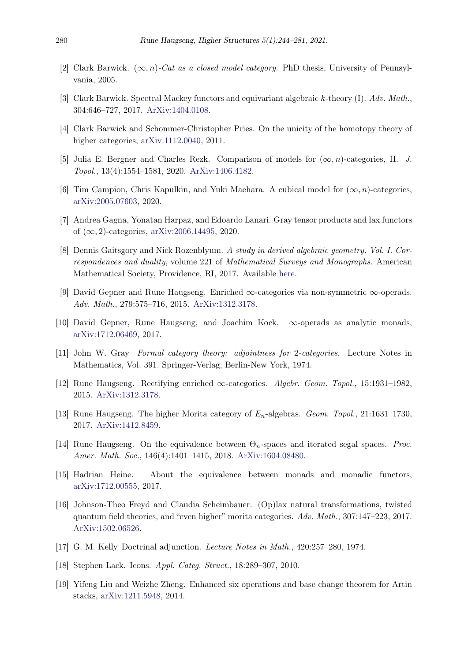- <span id="page-36-3"></span>[2] Clark Barwick.  $(\infty, n)$ -Cat as a closed model category. PhD thesis, University of Pennsylvania, 2005.
- <span id="page-36-15"></span>[3] Clark Barwick. Spectral Mackey functors and equivariant algebraic k-theory (I). Adv. Math., 304:646–727, 2017. [ArXiv:1404.0108.](http://arxiv.org/pdf/1404.0108)
- <span id="page-36-5"></span>[4] Clark Barwick and Schommer-Christopher Pries. On the unicity of the homotopy theory of higher categories, [arXiv:1112.0040,](http://arxiv.org/pdf/1112.0040) 2011.
- <span id="page-36-6"></span>[5] Julia E. Bergner and Charles Rezk. Comparison of models for  $(\infty, n)$ -categories, II. J. Topol., 13(4):1554–1581, 2020. [ArXiv:1406.4182.](http://arxiv.org/pdf/1406.4182)
- <span id="page-36-11"></span>[6] Tim Campion, Chris Kapulkin, and Yuki Maehara. A cubical model for  $(\infty, n)$ -categories, [arXiv:2005.07603,](http://arxiv.org/pdf/2005.07603) 2020.
- <span id="page-36-10"></span>[7] Andrea Gagna, Yonatan Harpaz, and Edoardo Lanari. Gray tensor products and lax functors of  $(\infty, 2)$ -categories, [arXiv:2006.14495,](http://arxiv.org/pdf/2006.14495) 2020.
- <span id="page-36-16"></span>[8] Dennis Gaitsgory and Nick Rozenblyum. A study in derived algebraic geometry. Vol. I. Correspondences and duality, volume 221 of Mathematical Surveys and Monographs. American Mathematical Society, Providence, RI, 2017. Available [here.](http://www.math.harvard.edu/~gaitsgde/GL)
- <span id="page-36-4"></span>[9] David Gepner and Rune Haugseng. Enriched ∞-categories via non-symmetric ∞-operads. Adv. Math., 279:575–716, 2015. [ArXiv:1312.3178.](http://arxiv.org/pdf/1312.3178)
- <span id="page-36-2"></span>[10] David Gepner, Rune Haugseng, and Joachim Kock. ∞-operads as analytic monads, [arXiv:1712.06469,](http://arxiv.org/pdf/1712.06469) 2017.
- <span id="page-36-9"></span>[11] John W. Gray Formal category theory: adjointness for 2-categories. Lecture Notes in Mathematics, Vol. 391. Springer-Verlag, Berlin-New York, 1974.
- <span id="page-36-8"></span>[12] Rune Haugseng. Rectifying enriched ∞-categories. Algebr. Geom. Topol., 15:1931–1982, 2015. [ArXiv:1312.3178.](http://arxiv.org/pdf/1312.3178)
- <span id="page-36-17"></span>[13] Rune Haugseng. The higher Morita category of  $E_n$ -algebras. *Geom. Topol.*, 21:1631–1730, 2017. [ArXiv:1412.8459.](http://arxiv.org/pdf/1412.8459)
- <span id="page-36-7"></span>[14] Rune Haugseng. On the equivalence between  $\Theta_n$ -spaces and iterated segal spaces. Proc. Amer. Math. Soc., 146(4):1401–1415, 2018. [ArXiv:1604.08480.](http://arxiv.org/pdf/1604.08480)
- <span id="page-36-0"></span>[15] Hadrian Heine. About the equivalence between monads and monadic functors, [arXiv:1712.00555,](http://arxiv.org/pdf/1712.00555) 2017.
- <span id="page-36-12"></span>[16] Johnson-Theo Freyd and Claudia Scheimbauer. (Op)lax natural transformations, twisted quantum field theories, and "even higher" morita categories. Adv. Math., 307:147–223, 2017. [ArXiv:1502.06526.](http://arxiv.org/pdf/1502.06526)
- <span id="page-36-13"></span>[17] G. M. Kelly Doctrinal adjunction. Lecture Notes in Math., 420:257–280, 1974.
- <span id="page-36-1"></span>[18] Stephen Lack. Icons. Appl. Categ. Struct., 18:289–307, 2010.
- <span id="page-36-14"></span>[19] Yifeng Liu and Weizhe Zheng. Enhanced six operations and base change theorem for Artin stacks, [arXiv:1211.5948,](http://arxiv.org/pdf/1211.5948) 2014.